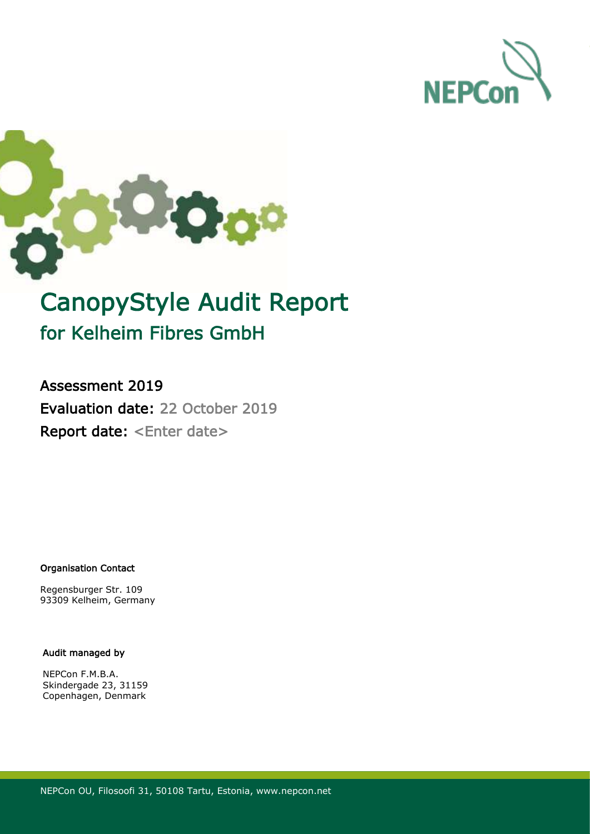



# CanopyStyle Audit Report for Kelheim Fibres GmbH

Assessment 2019 Evaluation date: 22 October 2019 Report date: <Enter date>

Organisation Contact

Regensburger Str. 109 93309 Kelheim, Germany

#### Audit managed by

NEPCon F.M.B.A. Skindergade 23, 31159 Copenhagen, Denmark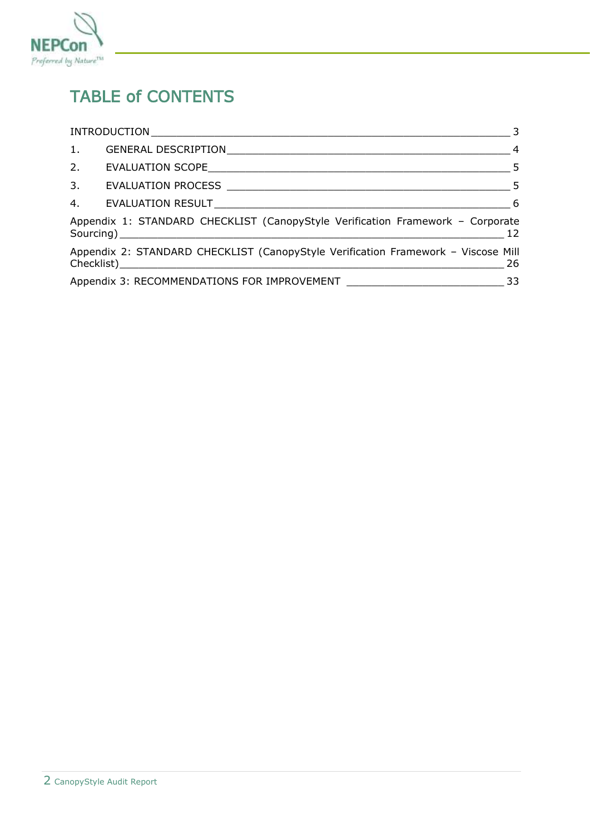

## TABLE of CONTENTS

| 1. |                                                                                   |    |
|----|-----------------------------------------------------------------------------------|----|
| 2. |                                                                                   |    |
|    |                                                                                   |    |
|    |                                                                                   |    |
|    | Appendix 1: STANDARD CHECKLIST (CanopyStyle Verification Framework - Corporate    | 12 |
|    | Appendix 2: STANDARD CHECKLIST (CanopyStyle Verification Framework - Viscose Mill | 26 |
|    |                                                                                   |    |
|    |                                                                                   |    |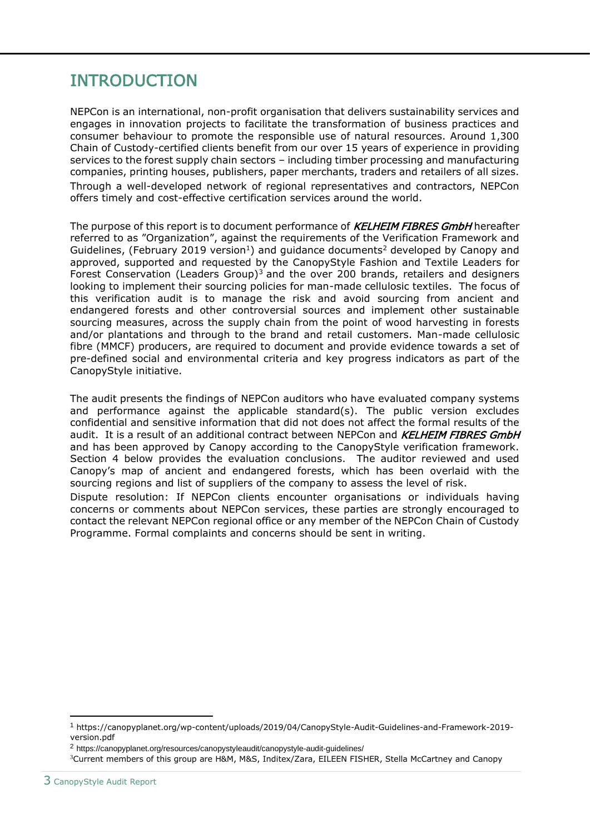## <span id="page-2-0"></span>INTRODUCTION

NEPCon is an international, non-profit organisation that delivers sustainability services and engages in innovation projects to facilitate the transformation of business practices and consumer behaviour to promote the responsible use of natural resources. Around 1,300 Chain of Custody-certified clients benefit from our over 15 years of experience in providing services to the forest supply chain sectors – including timber processing and manufacturing companies, printing houses, publishers, paper merchants, traders and retailers of all sizes. Through a well-developed network of regional representatives and contractors, NEPCon offers timely and cost-effective certification services around the world.

The purpose of this report is to document performance of **KELHEIM FIBRES GmbH** hereafter referred to as "Organization", against the requirements of the Verification Framework and Guidelines, (February 2019 version<sup>1</sup>) and guidance documents<sup>2</sup> developed by Canopy and approved, supported and requested by the CanopyStyle Fashion and Textile Leaders for Forest Conservation (Leaders Group)<sup>3</sup> and the over 200 brands, retailers and designers looking to implement their sourcing policies for man-made cellulosic textiles. The focus of this verification audit is to manage the risk and avoid sourcing from ancient and endangered forests and other controversial sources and implement other sustainable sourcing measures, across the supply chain from the point of wood harvesting in forests and/or plantations and through to the brand and retail customers. Man-made cellulosic fibre (MMCF) producers, are required to document and provide evidence towards a set of pre-defined social and environmental criteria and key progress indicators as part of the CanopyStyle initiative.

The audit presents the findings of NEPCon auditors who have evaluated company systems and performance against the applicable standard(s). The public version excludes confidential and sensitive information that did not does not affect the formal results of the audit. It is a result of an additional contract between NEPCon and KELHEIM FIBRES GmbH and has been approved by Canopy according to the CanopyStyle verification framework. Section 4 below provides the evaluation conclusions. The auditor reviewed and used Canopy's map of ancient and endangered forests, which has been overlaid with the sourcing regions and list of suppliers of the company to assess the level of risk.

Dispute resolution: If NEPCon clients encounter organisations or individuals having concerns or comments about NEPCon services, these parties are strongly encouraged to contact the relevant NEPCon regional office or any member of the NEPCon Chain of Custody Programme. Formal complaints and concerns should be sent in writing.

<sup>1</sup> https://canopyplanet.org/wp-content/uploads/2019/04/CanopyStyle-Audit-Guidelines-and-Framework-2019 version.pdf

<sup>2</sup> https://canopyplanet.org/resources/canopystyleaudit/canopystyle-audit-guidelines/

<sup>3</sup>Current members of this group are H&M, M&S, Inditex/Zara, EILEEN FISHER, Stella McCartney and Canopy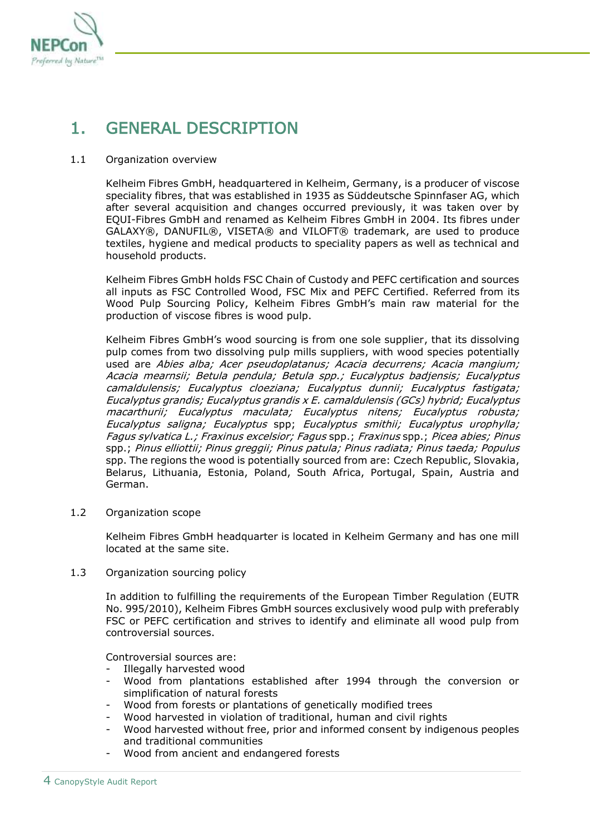

## <span id="page-3-0"></span>1. GENERAL DESCRIPTION

#### 1.1 Organization overview

Kelheim Fibres GmbH, headquartered in Kelheim, Germany, is a producer of viscose speciality fibres, that was established in 1935 as Süddeutsche Spinnfaser AG, which after several acquisition and changes occurred previously, it was taken over by EQUI-Fibres GmbH and renamed as Kelheim Fibres GmbH in 2004. Its fibres under GALAXY®, DANUFIL®, VISETA® and VILOFT® trademark, are used to produce textiles, hygiene and medical products to speciality papers as well as technical and household products.

Kelheim Fibres GmbH holds FSC Chain of Custody and PEFC certification and sources all inputs as FSC Controlled Wood, FSC Mix and PEFC Certified. Referred from its Wood Pulp Sourcing Policy, Kelheim Fibres GmbH's main raw material for the production of viscose fibres is wood pulp.

Kelheim Fibres GmbH's wood sourcing is from one sole supplier, that its dissolving pulp comes from two dissolving pulp mills suppliers, with wood species potentially used are Abies alba; Acer pseudoplatanus; Acacia decurrens; Acacia mangium; Acacia mearnsii; Betula pendula; Betula spp.; Eucalyptus badjensis; Eucalyptus camaldulensis; Eucalyptus cloeziana; Eucalyptus dunnii; Eucalyptus fastigata; Eucalyptus grandis; Eucalyptus grandis x E. camaldulensis (GCs) hybrid; Eucalyptus macarthurii; Eucalyptus maculata; Eucalyptus nitens; Eucalyptus robusta; Eucalyptus saligna; Eucalyptus spp; Eucalyptus smithii; Eucalyptus urophylla; Fagus sylvatica L.; Fraxinus excelsior; Fagus spp.; Fraxinus spp.; Picea abies; Pinus spp.; Pinus elliottii; Pinus greggii; Pinus patula; Pinus radiata; Pinus taeda; Populus spp. The regions the wood is potentially sourced from are: Czech Republic, Slovakia, Belarus, Lithuania, Estonia, Poland, South Africa, Portugal, Spain, Austria and German.

1.2 Organization scope

Kelheim Fibres GmbH headquarter is located in Kelheim Germany and has one mill located at the same site.

1.3 Organization sourcing policy

In addition to fulfilling the requirements of the European Timber Regulation (EUTR No. 995/2010), Kelheim Fibres GmbH sources exclusively wood pulp with preferably FSC or PEFC certification and strives to identify and eliminate all wood pulp from controversial sources.

Controversial sources are:

- Illegally harvested wood
- Wood from plantations established after 1994 through the conversion or simplification of natural forests
- Wood from forests or plantations of genetically modified trees
- Wood harvested in violation of traditional, human and civil rights
- Wood harvested without free, prior and informed consent by indigenous peoples and traditional communities
- Wood from ancient and endangered forests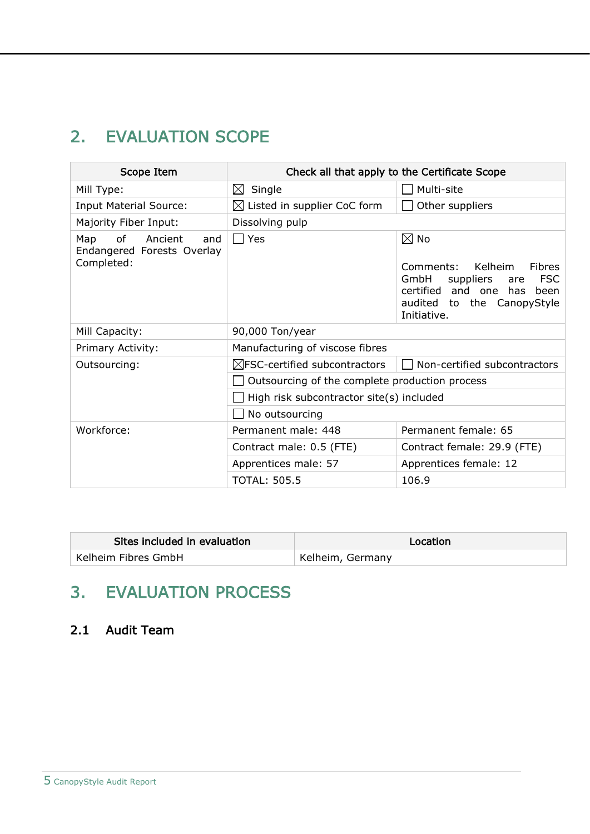## <span id="page-4-0"></span>2. EVALUATION SCOPE

| Scope Item                                                |                                                | Check all that apply to the Certificate Scope                                                                                                                                 |  |
|-----------------------------------------------------------|------------------------------------------------|-------------------------------------------------------------------------------------------------------------------------------------------------------------------------------|--|
| Mill Type:                                                | $\boxtimes$<br>Single                          | Multi-site                                                                                                                                                                    |  |
| <b>Input Material Source:</b>                             | $\boxtimes$ Listed in supplier CoC form        | Other suppliers                                                                                                                                                               |  |
| Majority Fiber Input:                                     | Dissolving pulp                                |                                                                                                                                                                               |  |
| of<br>Ancient<br>Map<br>and<br>Endangered Forests Overlay | Yes<br>$\Box$                                  | $\boxtimes$ No                                                                                                                                                                |  |
| Completed:                                                |                                                | <b>Kelheim</b><br><b>Fibres</b><br>Comments:<br><b>FSC</b><br>GmbH<br>suppliers<br>are<br>certified<br>and one<br>has<br>been<br>audited<br>to the CanopyStyle<br>Initiative. |  |
| Mill Capacity:                                            | 90,000 Ton/year                                |                                                                                                                                                                               |  |
| Primary Activity:                                         | Manufacturing of viscose fibres                |                                                                                                                                                                               |  |
| Outsourcing:                                              | $\boxtimes$ FSC-certified subcontractors       | Non-certified subcontractors                                                                                                                                                  |  |
|                                                           | Outsourcing of the complete production process |                                                                                                                                                                               |  |
|                                                           | High risk subcontractor site(s) included       |                                                                                                                                                                               |  |
|                                                           | No outsourcing                                 |                                                                                                                                                                               |  |
| Workforce:                                                | Permanent male: 448                            | Permanent female: 65                                                                                                                                                          |  |
|                                                           | Contract male: 0.5 (FTE)                       | Contract female: 29.9 (FTE)                                                                                                                                                   |  |
|                                                           | Apprentices male: 57                           | Apprentices female: 12                                                                                                                                                        |  |
|                                                           | <b>TOTAL: 505.5</b>                            | 106.9                                                                                                                                                                         |  |

| Sites included in evaluation | Location         |
|------------------------------|------------------|
| Kelheim Fibres GmbH          | Kelheim, Germany |

## <span id="page-4-1"></span>3. EVALUATION PROCESS

### 2.1 Audit Team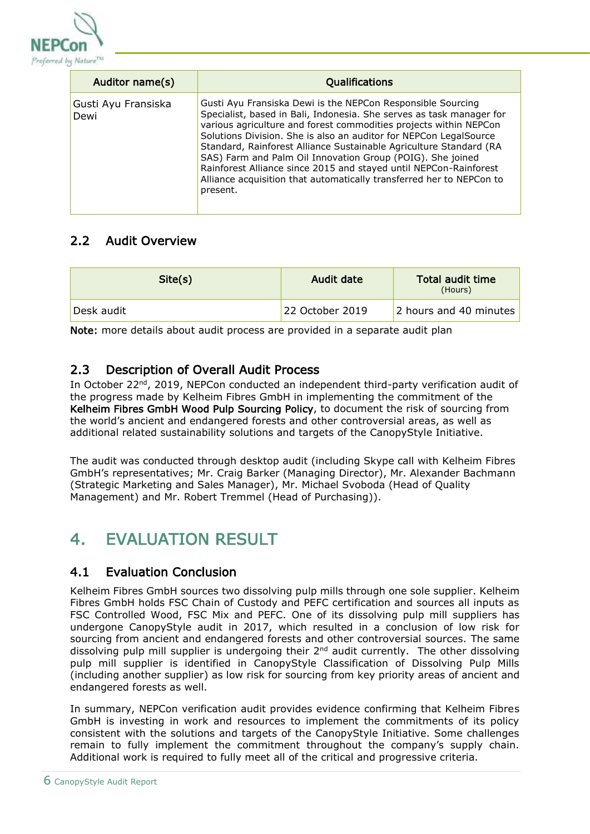

| Auditor name(s)             | Qualifications                                                                                                                                                                                                                                                                                                                                                                                                                                                                                                                                                             |
|-----------------------------|----------------------------------------------------------------------------------------------------------------------------------------------------------------------------------------------------------------------------------------------------------------------------------------------------------------------------------------------------------------------------------------------------------------------------------------------------------------------------------------------------------------------------------------------------------------------------|
| Gusti Ayu Fransiska<br>Dewi | Gusti Ayu Fransiska Dewi is the NEPCon Responsible Sourcing<br>Specialist, based in Bali, Indonesia. She serves as task manager for<br>various agriculture and forest commodities projects within NEPCon<br>Solutions Division. She is also an auditor for NEPCon LegalSource<br>Standard, Rainforest Alliance Sustainable Agriculture Standard (RA<br>SAS) Farm and Palm Oil Innovation Group (POIG). She joined<br>Rainforest Alliance since 2015 and stayed until NEPCon-Rainforest<br>Alliance acquisition that automatically transferred her to NEPCon to<br>present. |

### 2.2 Audit Overview

| Site(s)    | Audit date      | Total audit time<br>(Hours) |
|------------|-----------------|-----------------------------|
| Desk audit | 22 October 2019 | 2 hours and 40 minutes      |

Note: more details about audit process are provided in a separate audit plan

### 2.3 Description of Overall Audit Process

In October 22<sup>nd</sup>, 2019, NEPCon conducted an independent third-party verification audit of the progress made by Kelheim Fibres GmbH in implementing the commitment of the Kelheim Fibres GmbH Wood Pulp Sourcing Policy, to document the risk of sourcing from the world's ancient and endangered forests and other controversial areas, as well as additional related sustainability solutions and targets of the CanopyStyle Initiative.

The audit was conducted through desktop audit (including Skype call with Kelheim Fibres GmbH's representatives; Mr. Craig Barker (Managing Director), Mr. Alexander Bachmann (Strategic Marketing and Sales Manager), Mr. Michael Svoboda (Head of Quality Management) and Mr. Robert Tremmel (Head of Purchasing)).

## <span id="page-5-0"></span>4. **EVALUATION RESULT**

#### 4.1 Evaluation Conclusion

Kelheim Fibres GmbH sources two dissolving pulp mills through one sole supplier. Kelheim Fibres GmbH holds FSC Chain of Custody and PEFC certification and sources all inputs as FSC Controlled Wood, FSC Mix and PEFC. One of its dissolving pulp mill suppliers has undergone CanopyStyle audit in 2017, which resulted in a conclusion of low risk for sourcing from ancient and endangered forests and other controversial sources. The same dissolving pulp mill supplier is undergoing their 2nd audit currently. The other dissolving pulp mill supplier is identified in CanopyStyle Classification of Dissolving Pulp Mills (including another supplier) as low risk for sourcing from key priority areas of ancient and endangered forests as well.

In summary, NEPCon verification audit provides evidence confirming that Kelheim Fibres GmbH is investing in work and resources to implement the commitments of its policy consistent with the solutions and targets of the CanopyStyle Initiative. Some challenges remain to fully implement the commitment throughout the company's supply chain. Additional work is required to fully meet all of the critical and progressive criteria.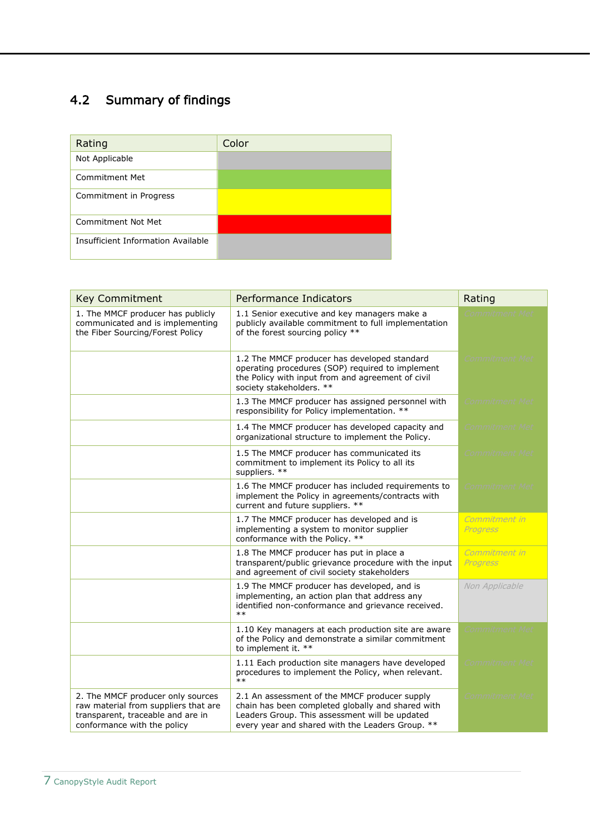### 4.2 Summary of findings

| Rating                             | Color |
|------------------------------------|-------|
| Not Applicable                     |       |
| Commitment Met                     |       |
| Commitment in Progress             |       |
| Commitment Not Met                 |       |
| Insufficient Information Available |       |

| <b>Key Commitment</b>                                                                                                                         | <b>Performance Indicators</b>                                                                                                                                                                            | Rating                           |
|-----------------------------------------------------------------------------------------------------------------------------------------------|----------------------------------------------------------------------------------------------------------------------------------------------------------------------------------------------------------|----------------------------------|
| 1. The MMCF producer has publicly<br>communicated and is implementing<br>the Fiber Sourcing/Forest Policy                                     | 1.1 Senior executive and key managers make a<br>publicly available commitment to full implementation<br>of the forest sourcing policy **                                                                 | Commitment Met                   |
|                                                                                                                                               | 1.2 The MMCF producer has developed standard<br>operating procedures (SOP) required to implement<br>the Policy with input from and agreement of civil<br>society stakeholders. **                        | <b>Commitment Met</b>            |
|                                                                                                                                               | 1.3 The MMCF producer has assigned personnel with<br>responsibility for Policy implementation. **                                                                                                        | Commitment Met                   |
|                                                                                                                                               | 1.4 The MMCF producer has developed capacity and<br>organizational structure to implement the Policy.                                                                                                    | <i>Commitment Met</i>            |
|                                                                                                                                               | 1.5 The MMCF producer has communicated its<br>commitment to implement its Policy to all its<br>suppliers. **                                                                                             | <i>Commitment Met</i>            |
|                                                                                                                                               | 1.6 The MMCF producer has included requirements to<br>implement the Policy in agreements/contracts with<br>current and future suppliers. **                                                              | <i>Commitment Met</i>            |
|                                                                                                                                               | 1.7 The MMCF producer has developed and is<br>implementing a system to monitor supplier<br>conformance with the Policy. **                                                                               | Commitment in<br>Progress        |
|                                                                                                                                               | 1.8 The MMCF producer has put in place a<br>transparent/public grievance procedure with the input<br>and agreement of civil society stakeholders                                                         | Commitment in<br><b>Progress</b> |
|                                                                                                                                               | 1.9 The MMCF producer has developed, and is<br>implementing, an action plan that address any<br>identified non-conformance and grievance received.<br>$***$                                              | Non Applicable                   |
|                                                                                                                                               | 1.10 Key managers at each production site are aware<br>of the Policy and demonstrate a similar commitment<br>to implement it. **                                                                         | Commitment Met                   |
|                                                                                                                                               | 1.11 Each production site managers have developed<br>procedures to implement the Policy, when relevant.<br>$**$                                                                                          | <i>Commitment Met</i>            |
| 2. The MMCF producer only sources<br>raw material from suppliers that are<br>transparent, traceable and are in<br>conformance with the policy | 2.1 An assessment of the MMCF producer supply<br>chain has been completed globally and shared with<br>Leaders Group. This assessment will be updated<br>every year and shared with the Leaders Group. ** | <i>Commitment Met</i>            |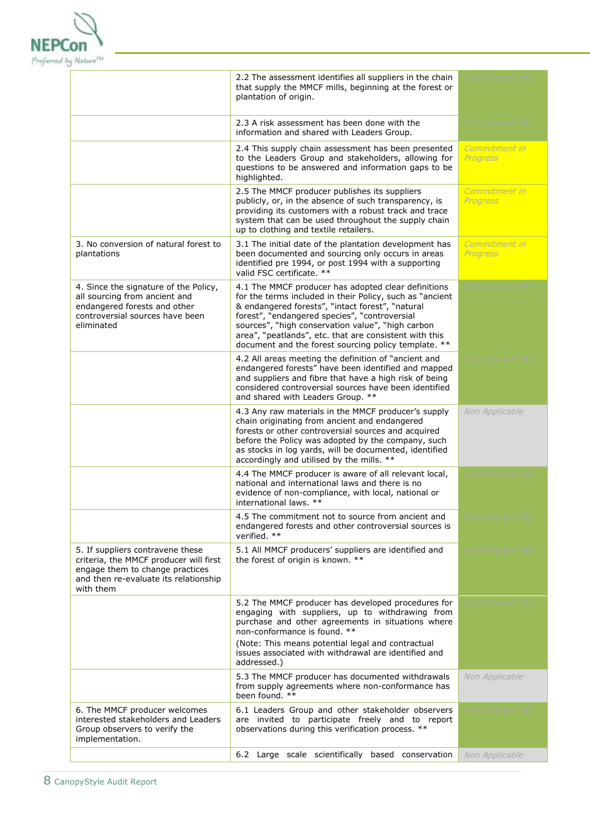

|                                                                                                                                                                     | 2.2 The assessment identifies all suppliers in the chain<br>that supply the MMCF mills, beginning at the forest or<br>plantation of origin.                                                                                                                                                                                                                                                 | <i>Commitment Mei</i>     |
|---------------------------------------------------------------------------------------------------------------------------------------------------------------------|---------------------------------------------------------------------------------------------------------------------------------------------------------------------------------------------------------------------------------------------------------------------------------------------------------------------------------------------------------------------------------------------|---------------------------|
|                                                                                                                                                                     | 2.3 A risk assessment has been done with the<br>information and shared with Leaders Group.                                                                                                                                                                                                                                                                                                  | <i>Commitment Met</i>     |
|                                                                                                                                                                     | 2.4 This supply chain assessment has been presented<br>to the Leaders Group and stakeholders, allowing for<br>questions to be answered and information gaps to be<br>highlighted.                                                                                                                                                                                                           | Commitment in<br>Progress |
|                                                                                                                                                                     | 2.5 The MMCF producer publishes its suppliers<br>publicly, or, in the absence of such transparency, is<br>providing its customers with a robust track and trace<br>system that can be used throughout the supply chain<br>up to clothing and textile retailers.                                                                                                                             | Commitment in<br>Progress |
| 3. No conversion of natural forest to<br>plantations                                                                                                                | 3.1 The initial date of the plantation development has<br>been documented and sourcing only occurs in areas<br>identified pre 1994, or post 1994 with a supporting<br>valid FSC certificate. **                                                                                                                                                                                             | Commitment in<br>Progress |
| 4. Since the signature of the Policy,<br>all sourcing from ancient and<br>endangered forests and other<br>controversial sources have been<br>eliminated             | 4.1 The MMCF producer has adopted clear definitions<br>for the terms included in their Policy, such as "ancient<br>& endangered forests", "intact forest", "natural<br>forest", "endangered species", "controversial<br>sources", "high conservation value", "high carbon<br>area", "peatlands", etc. that are consistent with this<br>document and the forest sourcing policy template. ** | Commitment Met            |
|                                                                                                                                                                     | 4.2 All areas meeting the definition of "ancient and<br>endangered forests" have been identified and mapped<br>and suppliers and fibre that have a high risk of being<br>considered controversial sources have been identified<br>and shared with Leaders Group. **                                                                                                                         | <b>Commitment Met</b>     |
|                                                                                                                                                                     | 4.3 Any raw materials in the MMCF producer's supply<br>chain originating from ancient and endangered<br>forests or other controversial sources and acquired<br>before the Policy was adopted by the company, such<br>as stocks in log yards, will be documented, identified<br>accordingly and utilised by the mills. **                                                                    | Non Applicable            |
|                                                                                                                                                                     | 4.4 The MMCF producer is aware of all relevant local,<br>national and international laws and there is no<br>evidence of non-compliance, with local, national or<br>international laws. **                                                                                                                                                                                                   | <i>Commitment Met</i>     |
|                                                                                                                                                                     | 4.5 The commitment not to source from ancient and<br>endangered forests and other controversial sources is<br>verified. **                                                                                                                                                                                                                                                                  | `ommitmen                 |
| 5. If suppliers contravene these<br>criteria, the MMCF producer will first<br>engage them to change practices<br>and then re-evaluate its relationship<br>with them | 5.1 All MMCF producers' suppliers are identified and<br>the forest of origin is known. **                                                                                                                                                                                                                                                                                                   | <b>Commitment Met</b>     |
|                                                                                                                                                                     | 5.2 The MMCF producer has developed procedures for<br>engaging with suppliers, up to withdrawing from<br>purchase and other agreements in situations where<br>non-conformance is found. **                                                                                                                                                                                                  | <b>Commitment Met</b>     |
|                                                                                                                                                                     | (Note: This means potential legal and contractual<br>issues associated with withdrawal are identified and<br>addressed.)                                                                                                                                                                                                                                                                    |                           |
|                                                                                                                                                                     | 5.3 The MMCF producer has documented withdrawals<br>from supply agreements where non-conformance has<br>been found. **                                                                                                                                                                                                                                                                      | Non Applicable            |
| 6. The MMCF producer welcomes<br>interested stakeholders and Leaders<br>Group observers to verify the<br>implementation.                                            | 6.1 Leaders Group and other stakeholder observers<br>are invited to participate freely and to report<br>observations during this verification process. **                                                                                                                                                                                                                                   | Commitment Met            |
|                                                                                                                                                                     | 6.2 Large scale scientifically based conservation                                                                                                                                                                                                                                                                                                                                           | Non Applicable            |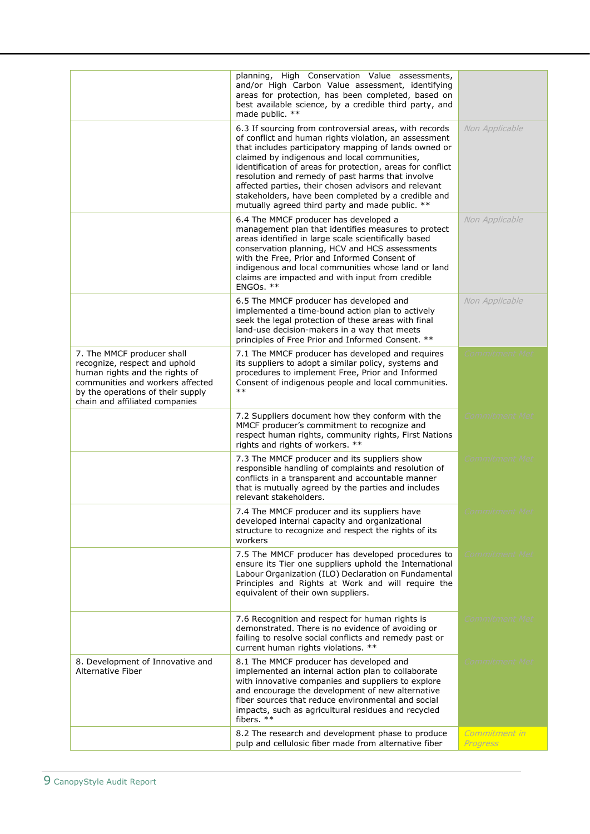|                                                                                                                                                                                                          | planning, High Conservation Value assessments,<br>and/or High Carbon Value assessment, identifying<br>areas for protection, has been completed, based on<br>best available science, by a credible third party, and<br>made public. **                                                                                                                                                                                                                                                                        |                           |
|----------------------------------------------------------------------------------------------------------------------------------------------------------------------------------------------------------|--------------------------------------------------------------------------------------------------------------------------------------------------------------------------------------------------------------------------------------------------------------------------------------------------------------------------------------------------------------------------------------------------------------------------------------------------------------------------------------------------------------|---------------------------|
|                                                                                                                                                                                                          | 6.3 If sourcing from controversial areas, with records<br>of conflict and human rights violation, an assessment<br>that includes participatory mapping of lands owned or<br>claimed by indigenous and local communities,<br>identification of areas for protection, areas for conflict<br>resolution and remedy of past harms that involve<br>affected parties, their chosen advisors and relevant<br>stakeholders, have been completed by a credible and<br>mutually agreed third party and made public. ** | Non Applicable            |
|                                                                                                                                                                                                          | 6.4 The MMCF producer has developed a<br>management plan that identifies measures to protect<br>areas identified in large scale scientifically based<br>conservation planning, HCV and HCS assessments<br>with the Free, Prior and Informed Consent of<br>indigenous and local communities whose land or land<br>claims are impacted and with input from credible<br>ENGOs. **                                                                                                                               | Non Applicable            |
|                                                                                                                                                                                                          | 6.5 The MMCF producer has developed and<br>implemented a time-bound action plan to actively<br>seek the legal protection of these areas with final<br>land-use decision-makers in a way that meets<br>principles of Free Prior and Informed Consent. **                                                                                                                                                                                                                                                      | Non Applicable            |
| 7. The MMCF producer shall<br>recognize, respect and uphold<br>human rights and the rights of<br>communities and workers affected<br>by the operations of their supply<br>chain and affiliated companies | 7.1 The MMCF producer has developed and requires<br>its suppliers to adopt a similar policy, systems and<br>procedures to implement Free, Prior and Informed<br>Consent of indigenous people and local communities.<br>$***$                                                                                                                                                                                                                                                                                 | Commitment Met            |
|                                                                                                                                                                                                          | 7.2 Suppliers document how they conform with the<br>MMCF producer's commitment to recognize and<br>respect human rights, community rights, First Nations<br>rights and rights of workers. **                                                                                                                                                                                                                                                                                                                 | Commitment Met            |
|                                                                                                                                                                                                          | 7.3 The MMCF producer and its suppliers show<br>responsible handling of complaints and resolution of<br>conflicts in a transparent and accountable manner<br>that is mutually agreed by the parties and includes<br>relevant stakeholders.                                                                                                                                                                                                                                                                   | Commitment Met            |
|                                                                                                                                                                                                          | 7.4 The MMCF producer and its suppliers have<br>developed internal capacity and organizational<br>structure to recognize and respect the rights of its<br>workers                                                                                                                                                                                                                                                                                                                                            |                           |
|                                                                                                                                                                                                          | 7.5 The MMCF producer has developed procedures to<br>ensure its Tier one suppliers uphold the International<br>Labour Organization (ILO) Declaration on Fundamental<br>Principles and Rights at Work and will require the<br>equivalent of their own suppliers.                                                                                                                                                                                                                                              | Commitment Met            |
|                                                                                                                                                                                                          | 7.6 Recognition and respect for human rights is<br>demonstrated. There is no evidence of avoiding or<br>failing to resolve social conflicts and remedy past or<br>current human rights violations. **                                                                                                                                                                                                                                                                                                        | <i>Commitment Met</i>     |
| 8. Development of Innovative and<br><b>Alternative Fiber</b>                                                                                                                                             | 8.1 The MMCF producer has developed and<br>implemented an internal action plan to collaborate<br>with innovative companies and suppliers to explore<br>and encourage the development of new alternative<br>fiber sources that reduce environmental and social<br>impacts, such as agricultural residues and recycled<br>fibers. $**$                                                                                                                                                                         | <i>Commitment Met</i>     |
|                                                                                                                                                                                                          | 8.2 The research and development phase to produce<br>pulp and cellulosic fiber made from alternative fiber                                                                                                                                                                                                                                                                                                                                                                                                   | Commitment in<br>Progress |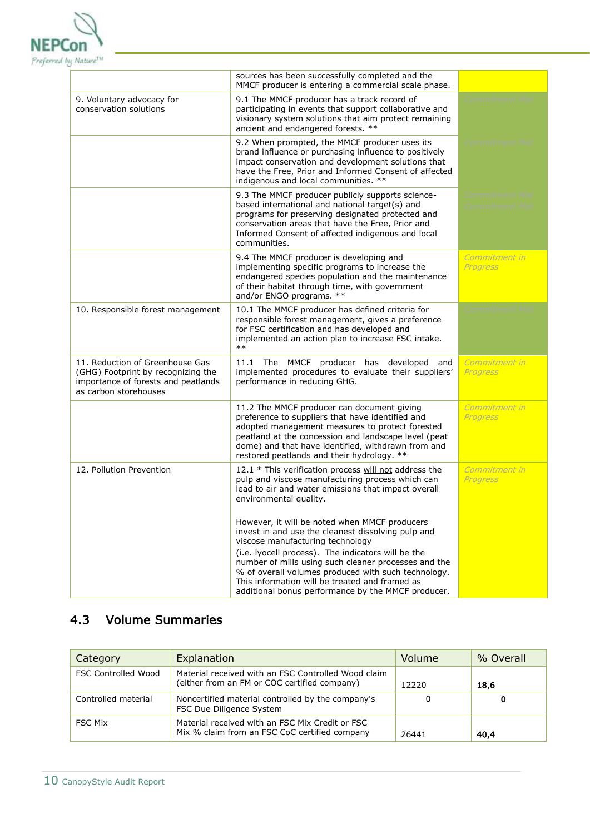

|                                                                                                                                       | sources has been successfully completed and the<br>MMCF producer is entering a commercial scale phase.                                                                                                                                                                                                        |                                                |
|---------------------------------------------------------------------------------------------------------------------------------------|---------------------------------------------------------------------------------------------------------------------------------------------------------------------------------------------------------------------------------------------------------------------------------------------------------------|------------------------------------------------|
| 9. Voluntary advocacy for<br>conservation solutions                                                                                   | 9.1 The MMCF producer has a track record of<br>participating in events that support collaborative and<br>visionary system solutions that aim protect remaining<br>ancient and endangered forests. **                                                                                                          | Commitment Met                                 |
|                                                                                                                                       | 9.2 When prompted, the MMCF producer uses its<br>brand influence or purchasing influence to positively<br>impact conservation and development solutions that<br>have the Free, Prior and Informed Consent of affected<br>indigenous and local communities. **                                                 | <i>Commitment Met</i>                          |
|                                                                                                                                       | 9.3 The MMCF producer publicly supports science-<br>based international and national target(s) and<br>programs for preserving designated protected and<br>conservation areas that have the Free, Prior and<br>Informed Consent of affected indigenous and local<br>communities.                               | <b>Commitment Met</b><br><b>Commitment Met</b> |
|                                                                                                                                       | 9.4 The MMCF producer is developing and<br>implementing specific programs to increase the<br>endangered species population and the maintenance<br>of their habitat through time, with government<br>and/or ENGO programs. **                                                                                  | Commitment in<br>Progress                      |
| 10. Responsible forest management                                                                                                     | 10.1 The MMCF producer has defined criteria for<br>responsible forest management, gives a preference<br>for FSC certification and has developed and<br>implemented an action plan to increase FSC intake.<br>$***$                                                                                            | <b>Commitment Met</b>                          |
| 11. Reduction of Greenhouse Gas<br>(GHG) Footprint by recognizing the<br>importance of forests and peatlands<br>as carbon storehouses | 11.1 The MMCF producer has developed and<br>implemented procedures to evaluate their suppliers'<br>performance in reducing GHG.                                                                                                                                                                               | Commitment in<br><b>Progress</b>               |
|                                                                                                                                       | 11.2 The MMCF producer can document giving<br>preference to suppliers that have identified and<br>adopted management measures to protect forested<br>peatland at the concession and landscape level (peat<br>dome) and that have identified, withdrawn from and<br>restored peatlands and their hydrology. ** | Commitment in<br>Progress                      |
| 12. Pollution Prevention                                                                                                              | 12.1 * This verification process will not address the<br>pulp and viscose manufacturing process which can<br>lead to air and water emissions that impact overall<br>environmental quality.                                                                                                                    | Commitment in<br>Progress                      |
|                                                                                                                                       | However, it will be noted when MMCF producers<br>invest in and use the cleanest dissolving pulp and<br>viscose manufacturing technology                                                                                                                                                                       |                                                |
|                                                                                                                                       | (i.e. lyocell process). The indicators will be the<br>number of mills using such cleaner processes and the<br>% of overall volumes produced with such technology.<br>This information will be treated and framed as<br>additional bonus performance by the MMCF producer.                                     |                                                |

### 4.3 Volume Summaries

| Category                   | Explanation                                                                                         | Volume | % Overall |
|----------------------------|-----------------------------------------------------------------------------------------------------|--------|-----------|
| <b>FSC Controlled Wood</b> | Material received with an FSC Controlled Wood claim<br>(either from an FM or COC certified company) | 12220  | 18,6      |
| Controlled material        | Noncertified material controlled by the company's<br>FSC Due Diligence System                       | 0      | 0         |
| <b>FSC Mix</b>             | Material received with an FSC Mix Credit or FSC<br>Mix % claim from an FSC CoC certified company    | 26441  | 40,4      |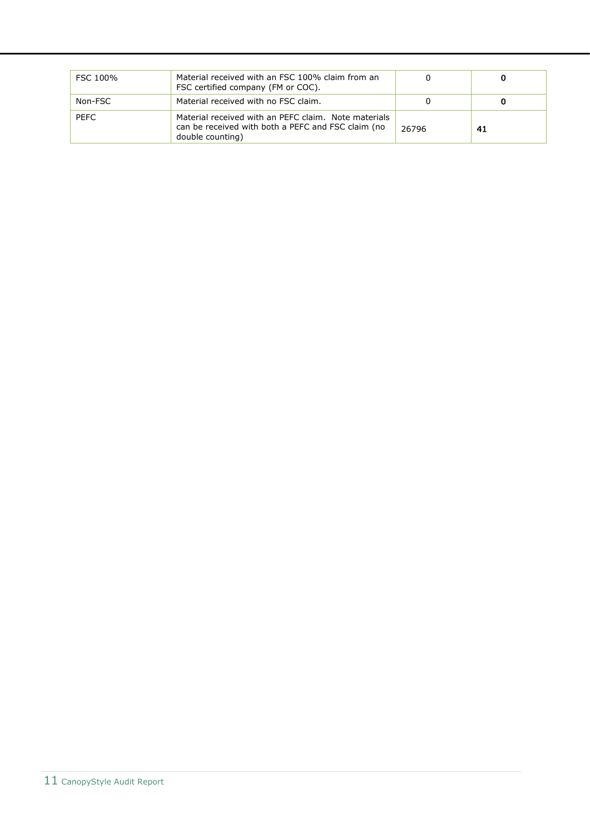| FSC 100%    | Material received with an FSC 100% claim from an<br>FSC certified company (FM or COC).                                         |       |     |
|-------------|--------------------------------------------------------------------------------------------------------------------------------|-------|-----|
| Non-FSC     | Material received with no FSC claim.                                                                                           |       |     |
| <b>PEFC</b> | Material received with an PEFC claim. Note materials<br>can be received with both a PEFC and FSC claim (no<br>double counting) | 26796 | -41 |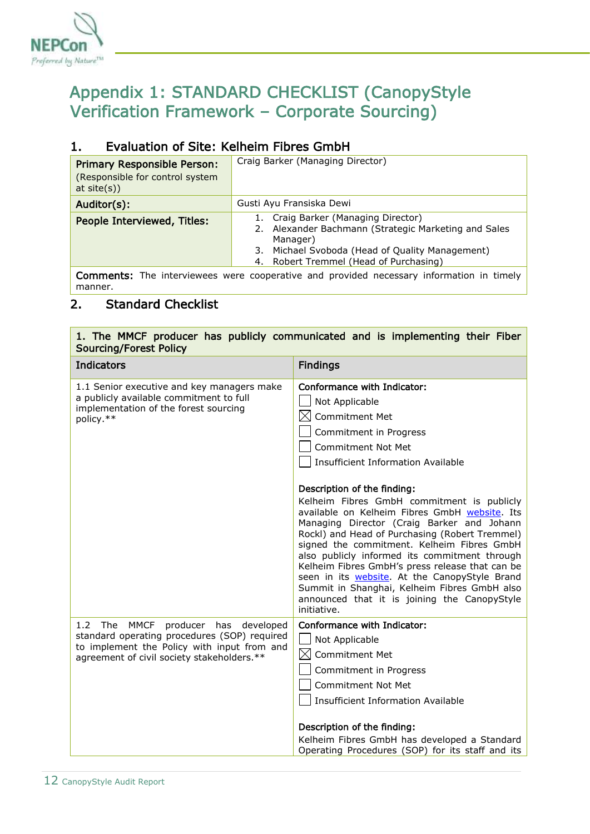

## <span id="page-11-0"></span>Appendix 1: STANDARD CHECKLIST (CanopyStyle Verification Framework – Corporate Sourcing)

### 1. Evaluation of Site: Kelheim Fibres GmbH

| <b>Primary Responsible Person:</b><br>(Responsible for control system<br>at site(s) | Craig Barker (Managing Director)                                                                                                                                                                        |  |
|-------------------------------------------------------------------------------------|---------------------------------------------------------------------------------------------------------------------------------------------------------------------------------------------------------|--|
| Auditor(s):                                                                         | Gusti Ayu Fransiska Dewi                                                                                                                                                                                |  |
| People Interviewed, Titles:                                                         | Craig Barker (Managing Director)<br>1.<br>2. Alexander Bachmann (Strategic Marketing and Sales<br>Manager)<br>3. Michael Svoboda (Head of Quality Management)<br>4. Robert Tremmel (Head of Purchasing) |  |
|                                                                                     | <b>Comments:</b> The interviewees were cooperative and provided necessary information in timely                                                                                                         |  |

manner.

### 2. Standard Checklist

| 1. The MMCF producer has publicly communicated and is implementing their Fiber<br><b>Sourcing/Forest Policy</b>                                                                     |                                                                                                                                                                                                                                                                                                                                                                                                                                                                                                                                              |  |
|-------------------------------------------------------------------------------------------------------------------------------------------------------------------------------------|----------------------------------------------------------------------------------------------------------------------------------------------------------------------------------------------------------------------------------------------------------------------------------------------------------------------------------------------------------------------------------------------------------------------------------------------------------------------------------------------------------------------------------------------|--|
| <b>Indicators</b>                                                                                                                                                                   | <b>Findings</b>                                                                                                                                                                                                                                                                                                                                                                                                                                                                                                                              |  |
| 1.1 Senior executive and key managers make<br>a publicly available commitment to full<br>implementation of the forest sourcing<br>policy.**                                         | Conformance with Indicator:<br>Not Applicable<br>$\bowtie$<br>Commitment Met<br>Commitment in Progress<br>Commitment Not Met<br><b>Insufficient Information Available</b>                                                                                                                                                                                                                                                                                                                                                                    |  |
|                                                                                                                                                                                     | Description of the finding:<br>Kelheim Fibres GmbH commitment is publicly<br>available on Kelheim Fibres GmbH website. Its<br>Managing Director (Craig Barker and Johann<br>Rockl) and Head of Purchasing (Robert Tremmel)<br>signed the commitment. Kelheim Fibres GmbH<br>also publicly informed its commitment through<br>Kelheim Fibres GmbH's press release that can be<br>seen in its website. At the CanopyStyle Brand<br>Summit in Shanghai, Kelheim Fibres GmbH also<br>announced that it is joining the CanopyStyle<br>initiative. |  |
| 1.2 The MMCF<br>producer has developed<br>standard operating procedures (SOP) required<br>to implement the Policy with input from and<br>agreement of civil society stakeholders.** | Conformance with Indicator:<br>Not Applicable<br>$\boxtimes$<br>Commitment Met<br>Commitment in Progress<br><b>Commitment Not Met</b><br><b>Insufficient Information Available</b><br>Description of the finding:<br>Kelheim Fibres GmbH has developed a Standard<br>Operating Procedures (SOP) for its staff and its                                                                                                                                                                                                                        |  |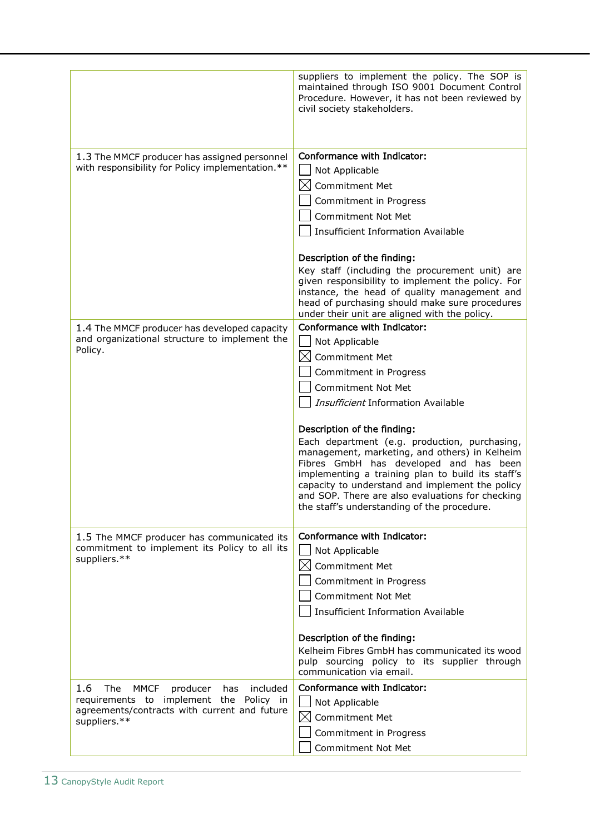|                                                                                                                                                              | suppliers to implement the policy. The SOP is<br>maintained through ISO 9001 Document Control<br>Procedure. However, it has not been reviewed by<br>civil society stakeholders.                                                                                                                                                                                                                                                                                                                                                                           |
|--------------------------------------------------------------------------------------------------------------------------------------------------------------|-----------------------------------------------------------------------------------------------------------------------------------------------------------------------------------------------------------------------------------------------------------------------------------------------------------------------------------------------------------------------------------------------------------------------------------------------------------------------------------------------------------------------------------------------------------|
| 1.3 The MMCF producer has assigned personnel<br>with responsibility for Policy implementation.**                                                             | Conformance with Indicator:<br>Not Applicable<br><b>Commitment Met</b><br>IХI<br>Commitment in Progress<br><b>Commitment Not Met</b><br><b>Insufficient Information Available</b><br>Description of the finding:                                                                                                                                                                                                                                                                                                                                          |
|                                                                                                                                                              | Key staff (including the procurement unit) are<br>given responsibility to implement the policy. For<br>instance, the head of quality management and<br>head of purchasing should make sure procedures<br>under their unit are aligned with the policy.                                                                                                                                                                                                                                                                                                    |
| 1.4 The MMCF producer has developed capacity<br>and organizational structure to implement the<br>Policy.                                                     | Conformance with Indicator:<br>Not Applicable<br><b>Commitment Met</b><br>Commitment in Progress<br><b>Commitment Not Met</b><br>Insufficient Information Available<br>Description of the finding:<br>Each department (e.g. production, purchasing,<br>management, marketing, and others) in Kelheim<br>Fibres GmbH has developed and has been<br>implementing a training plan to build its staff's<br>capacity to understand and implement the policy<br>and SOP. There are also evaluations for checking<br>the staff's understanding of the procedure. |
| 1.5 The MMCF producer has communicated its<br>commitment to implement its Policy to all its<br>suppliers.**                                                  | Conformance with Indicator:<br>Not Applicable<br>Commitment Met<br>Commitment in Progress<br><b>Commitment Not Met</b><br>Insufficient Information Available<br>Description of the finding:<br>Kelheim Fibres GmbH has communicated its wood<br>pulp sourcing policy to its supplier through<br>communication via email.                                                                                                                                                                                                                                  |
| 1.6<br>The<br>MMCF<br>included<br>producer<br>has<br>requirements to implement the Policy in<br>agreements/contracts with current and future<br>suppliers.** | Conformance with Indicator:<br>Not Applicable<br>$\times$<br><b>Commitment Met</b><br>Commitment in Progress<br>Commitment Not Met                                                                                                                                                                                                                                                                                                                                                                                                                        |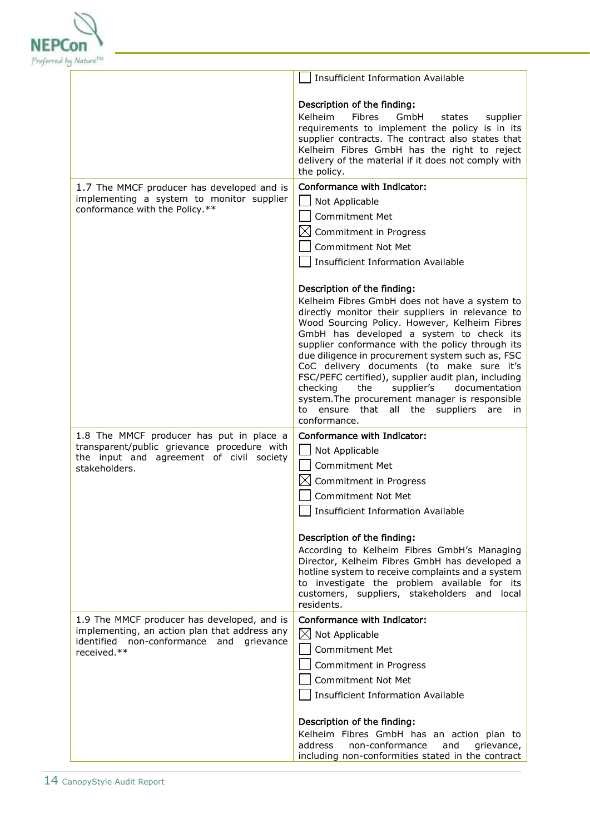

| And the aggregate to                                                                                                                                          |                                                                                                                                                                                                                                                                                                                                                                                                                                                                                                                                                                                                                    |
|---------------------------------------------------------------------------------------------------------------------------------------------------------------|--------------------------------------------------------------------------------------------------------------------------------------------------------------------------------------------------------------------------------------------------------------------------------------------------------------------------------------------------------------------------------------------------------------------------------------------------------------------------------------------------------------------------------------------------------------------------------------------------------------------|
|                                                                                                                                                               | <b>Insufficient Information Available</b>                                                                                                                                                                                                                                                                                                                                                                                                                                                                                                                                                                          |
|                                                                                                                                                               | Description of the finding:<br>Kelheim<br>Fibres<br>GmbH<br>states<br>supplier<br>requirements to implement the policy is in its<br>supplier contracts. The contract also states that<br>Kelheim Fibres GmbH has the right to reject<br>delivery of the material if it does not comply with<br>the policy.                                                                                                                                                                                                                                                                                                         |
| 1.7 The MMCF producer has developed and is<br>implementing a system to monitor supplier<br>conformance with the Policy.**                                     | Conformance with Indicator:<br>Not Applicable<br><b>Commitment Met</b><br>$\boxtimes$ Commitment in Progress<br><b>Commitment Not Met</b><br><b>Insufficient Information Available</b>                                                                                                                                                                                                                                                                                                                                                                                                                             |
|                                                                                                                                                               | Description of the finding:<br>Kelheim Fibres GmbH does not have a system to<br>directly monitor their suppliers in relevance to<br>Wood Sourcing Policy. However, Kelheim Fibres<br>GmbH has developed a system to check its<br>supplier conformance with the policy through its<br>due diligence in procurement system such as, FSC<br>CoC delivery documents (to make sure it's<br>FSC/PEFC certified), supplier audit plan, including<br>checking<br>the<br>supplier's<br>documentation<br>system. The procurement manager is responsible<br>ensure that all the suppliers<br>to<br>are<br>in.<br>conformance. |
| 1.8 The MMCF producer has put in place a<br>transparent/public grievance procedure with<br>the input and agreement of civil society<br>stakeholders.          | Conformance with Indicator:<br>Not Applicable<br><b>Commitment Met</b><br>$\boxtimes$ Commitment in Progress<br>Commitment Not Met<br><b>Insufficient Information Available</b><br>Description of the finding:<br>According to Kelheim Fibres GmbH's Managing<br>Director, Kelheim Fibres GmbH has developed a<br>hotline system to receive complaints and a system<br>to investigate the problem available for its                                                                                                                                                                                                |
| 1.9 The MMCF producer has developed, and is<br>implementing, an action plan that address any<br>identified non-conformance<br>and<br>grievance<br>received.** | customers, suppliers, stakeholders and local<br>residents.<br>Conformance with Indicator:<br>$\boxtimes$<br>Not Applicable<br><b>Commitment Met</b><br>Commitment in Progress<br><b>Commitment Not Met</b><br><b>Insufficient Information Available</b>                                                                                                                                                                                                                                                                                                                                                            |
|                                                                                                                                                               | Description of the finding:<br>Kelheim Fibres GmbH has an action plan to<br>address<br>non-conformance<br>and<br>grievance,<br>including non-conformities stated in the contract                                                                                                                                                                                                                                                                                                                                                                                                                                   |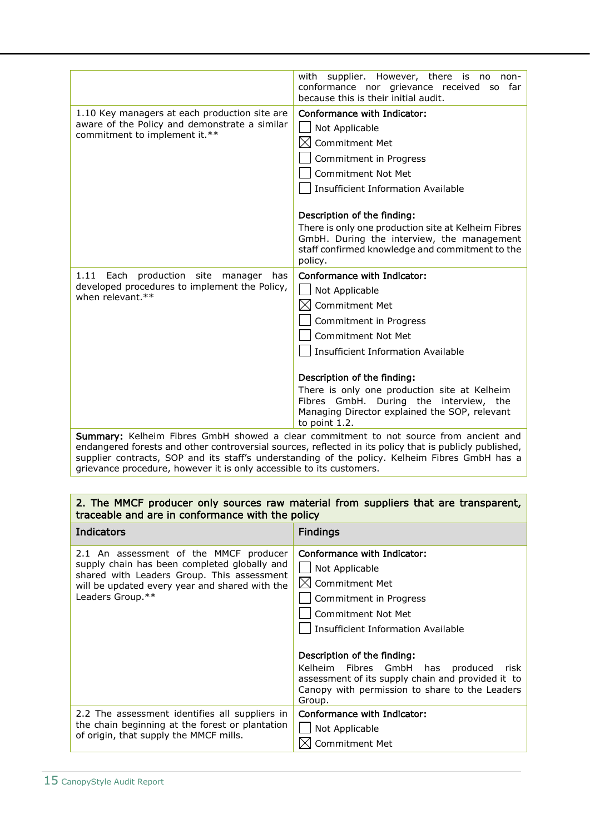|                                                                                                                                 | However, there is no<br>with<br>supplier.<br>non-<br>conformance nor grievance received<br>so far<br>because this is their initial audit.                                                                                                                                                                                                                                    |
|---------------------------------------------------------------------------------------------------------------------------------|------------------------------------------------------------------------------------------------------------------------------------------------------------------------------------------------------------------------------------------------------------------------------------------------------------------------------------------------------------------------------|
| 1.10 Key managers at each production site are<br>aware of the Policy and demonstrate a similar<br>commitment to implement it.** | Conformance with Indicator:<br>Not Applicable<br>Commitment Met<br>IXI<br>Commitment in Progress<br><b>Commitment Not Met</b><br><b>Insufficient Information Available</b><br>Description of the finding:<br>There is only one production site at Kelheim Fibres<br>GmbH. During the interview, the management<br>staff confirmed knowledge and commitment to the<br>policy. |
| 1.11<br>Each<br>production<br>site<br>manager<br>has<br>developed procedures to implement the Policy,<br>when relevant.**       | Conformance with Indicator:<br>Not Applicable<br>Commitment Met<br>IXI<br>Commitment in Progress<br><b>Commitment Not Met</b><br>Insufficient Information Available<br>Description of the finding:<br>There is only one production site at Kelheim<br>Fibres GmbH. During the interview, the<br>Managing Director explained the SOP, relevant<br>to point 1.2.               |
|                                                                                                                                 | Summary: Kelheim Fibres GmbH showed a clear commitment to not source from ancient and<br>endangered forests and other controversial sources, reflected in its policy that is publicly published,                                                                                                                                                                             |

supplier contracts, SOP and its staff's understanding of the policy. Kelheim Fibres GmbH has a grievance procedure, however it is only accessible to its customers.

#### 2. The MMCF producer only sources raw material from suppliers that are transparent, traceable and are in conformance with the policy

| Indicators                                                                                                                                                                                                 | <b>Findings</b>                                                                                                                                                                                                                                                                                                                                   |
|------------------------------------------------------------------------------------------------------------------------------------------------------------------------------------------------------------|---------------------------------------------------------------------------------------------------------------------------------------------------------------------------------------------------------------------------------------------------------------------------------------------------------------------------------------------------|
| 2.1 An assessment of the MMCF producer<br>supply chain has been completed globally and<br>shared with Leaders Group. This assessment<br>will be updated every year and shared with the<br>Leaders Group.** | Conformance with Indicator:<br>Not Applicable<br>Commitment Met<br>Commitment in Progress<br>Commitment Not Met<br>Insufficient Information Available<br>Description of the finding:<br>Kelheim Fibres GmbH has produced<br>risk<br>assessment of its supply chain and provided it to<br>Canopy with permission to share to the Leaders<br>Group. |
| 2.2 The assessment identifies all suppliers in<br>the chain beginning at the forest or plantation<br>of origin, that supply the MMCF mills.                                                                | Conformance with Indicator:<br>Not Applicable<br><b>Commitment Met</b>                                                                                                                                                                                                                                                                            |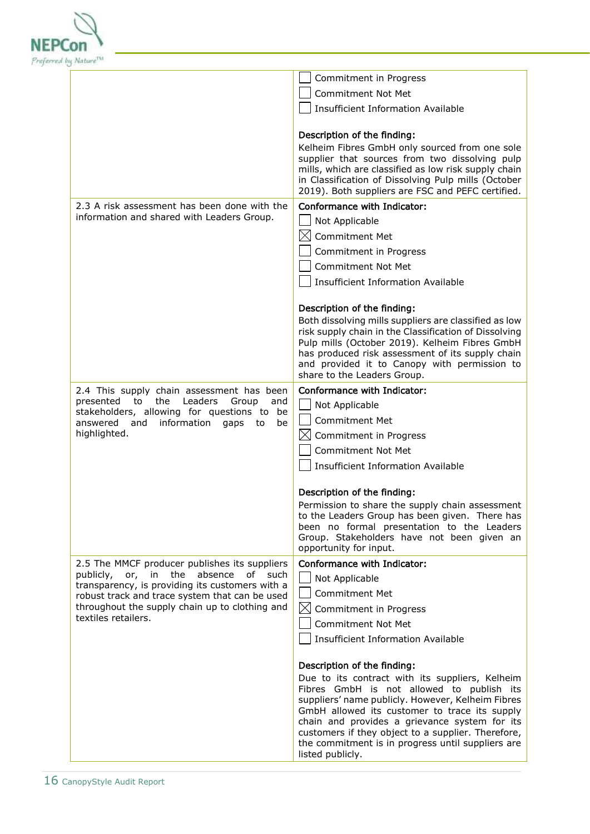

|                                                                                                                                                                                                                                                                     | Commitment in Progress                                                                                                                                                                                                                                                                                                                                                                                            |
|---------------------------------------------------------------------------------------------------------------------------------------------------------------------------------------------------------------------------------------------------------------------|-------------------------------------------------------------------------------------------------------------------------------------------------------------------------------------------------------------------------------------------------------------------------------------------------------------------------------------------------------------------------------------------------------------------|
|                                                                                                                                                                                                                                                                     | <b>Commitment Not Met</b>                                                                                                                                                                                                                                                                                                                                                                                         |
|                                                                                                                                                                                                                                                                     | <b>Insufficient Information Available</b>                                                                                                                                                                                                                                                                                                                                                                         |
|                                                                                                                                                                                                                                                                     | Description of the finding:<br>Kelheim Fibres GmbH only sourced from one sole<br>supplier that sources from two dissolving pulp<br>mills, which are classified as low risk supply chain<br>in Classification of Dissolving Pulp mills (October<br>2019). Both suppliers are FSC and PEFC certified.                                                                                                               |
| 2.3 A risk assessment has been done with the<br>information and shared with Leaders Group.                                                                                                                                                                          | Conformance with Indicator:<br>Not Applicable<br>$\bowtie$<br><b>Commitment Met</b><br>Commitment in Progress<br><b>Commitment Not Met</b><br><b>Insufficient Information Available</b>                                                                                                                                                                                                                           |
|                                                                                                                                                                                                                                                                     | Description of the finding:<br>Both dissolving mills suppliers are classified as low<br>risk supply chain in the Classification of Dissolving<br>Pulp mills (October 2019). Kelheim Fibres GmbH<br>has produced risk assessment of its supply chain<br>and provided it to Canopy with permission to<br>share to the Leaders Group.                                                                                |
| 2.4 This supply chain assessment has been<br>presented<br>the<br>Leaders<br>to<br>Group<br>and<br>stakeholders, allowing for questions to be<br>information<br>answered and<br>gaps<br>be<br>to<br>highlighted.                                                     | Conformance with Indicator:<br>Not Applicable<br><b>Commitment Met</b><br>Commitment in Progress<br><b>Commitment Not Met</b><br><b>Insufficient Information Available</b>                                                                                                                                                                                                                                        |
|                                                                                                                                                                                                                                                                     | Description of the finding:<br>Permission to share the supply chain assessment<br>to the Leaders Group has been given. There has<br>been no formal presentation to the Leaders<br>Group. Stakeholders have not been given an<br>opportunity for input.                                                                                                                                                            |
| 2.5 The MMCF producer publishes its suppliers<br>publicly, or, in the absence of such<br>transparency, is providing its customers with a<br>robust track and trace system that can be used<br>throughout the supply chain up to clothing and<br>textiles retailers. | Conformance with Indicator:<br>Not Applicable<br><b>Commitment Met</b><br>$\boxtimes$ Commitment in Progress<br><b>Commitment Not Met</b><br><b>Insufficient Information Available</b>                                                                                                                                                                                                                            |
|                                                                                                                                                                                                                                                                     | Description of the finding:<br>Due to its contract with its suppliers, Kelheim<br>Fibres GmbH is not allowed to publish its<br>suppliers' name publicly. However, Kelheim Fibres<br>GmbH allowed its customer to trace its supply<br>chain and provides a grievance system for its<br>customers if they object to a supplier. Therefore,<br>the commitment is in progress until suppliers are<br>listed publicly. |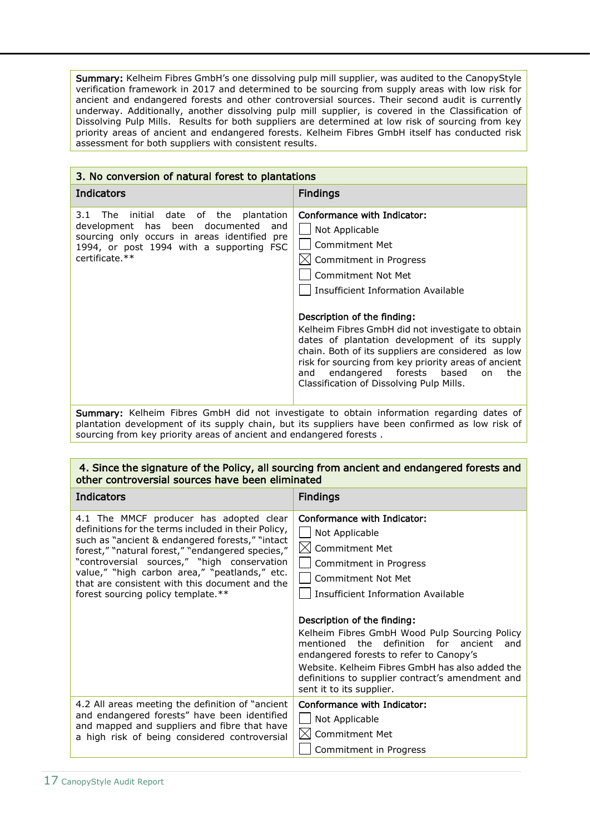Summary: Kelheim Fibres GmbH's one dissolving pulp mill supplier, was audited to the CanopyStyle verification framework in 2017 and determined to be sourcing from supply areas with low risk for ancient and endangered forests and other controversial sources. Their second audit is currently underway. Additionally, another dissolving pulp mill supplier, is covered in the Classification of Dissolving Pulp Mills. Results for both suppliers are determined at low risk of sourcing from key priority areas of ancient and endangered forests. Kelheim Fibres GmbH itself has conducted risk assessment for both suppliers with consistent results.

| 3. No conversion of natural forest to plantations                                                                                                                                                 |                                                                                                                                                                                                                                                                                                                                                                                                                                                                                                      |
|---------------------------------------------------------------------------------------------------------------------------------------------------------------------------------------------------|------------------------------------------------------------------------------------------------------------------------------------------------------------------------------------------------------------------------------------------------------------------------------------------------------------------------------------------------------------------------------------------------------------------------------------------------------------------------------------------------------|
| Indicators                                                                                                                                                                                        | <b>Findings</b>                                                                                                                                                                                                                                                                                                                                                                                                                                                                                      |
| initial date of the plantation<br>3.1 The<br>development has been documented<br>and<br>sourcing only occurs in areas identified pre<br>1994, or post 1994 with a supporting FSC<br>certificate.** | Conformance with Indicator:<br>Not Applicable<br>Commitment Met<br>Commitment in Progress<br>Commitment Not Met<br>Insufficient Information Available<br>Description of the finding:<br>Kelheim Fibres GmbH did not investigate to obtain<br>dates of plantation development of its supply<br>chain. Both of its suppliers are considered as low<br>risk for sourcing from key priority areas of ancient<br>endangered forests based<br>the<br>and<br>on<br>Classification of Dissolving Pulp Mills. |

Summary: Kelheim Fibres GmbH did not investigate to obtain information regarding dates of plantation development of its supply chain, but its suppliers have been confirmed as low risk of sourcing from key priority areas of ancient and endangered forests .

| 4. Since the signature of the Policy, all sourcing from ancient and endangered forests and<br>other controversial sources have been eliminated                                                                                                                                                                                                                                                |                                                                                                                                                                                                                                                                                                                                                                                                                                                                                       |
|-----------------------------------------------------------------------------------------------------------------------------------------------------------------------------------------------------------------------------------------------------------------------------------------------------------------------------------------------------------------------------------------------|---------------------------------------------------------------------------------------------------------------------------------------------------------------------------------------------------------------------------------------------------------------------------------------------------------------------------------------------------------------------------------------------------------------------------------------------------------------------------------------|
| <b>Indicators</b>                                                                                                                                                                                                                                                                                                                                                                             | <b>Findings</b>                                                                                                                                                                                                                                                                                                                                                                                                                                                                       |
| 4.1 The MMCF producer has adopted clear<br>definitions for the terms included in their Policy,<br>such as "ancient & endangered forests," "intact<br>forest," "natural forest," "endangered species,"<br>"controversial sources," "high conservation<br>value," "high carbon area," "peatlands," etc.<br>that are consistent with this document and the<br>forest sourcing policy template.** | Conformance with Indicator:<br>Not Applicable<br>$\boxtimes$ Commitment Met<br>Commitment in Progress<br><b>Commitment Not Met</b><br>Insufficient Information Available<br>Description of the finding:<br>Kelheim Fibres GmbH Wood Pulp Sourcing Policy<br>mentioned the definition for ancient<br>and<br>endangered forests to refer to Canopy's<br>Website. Kelheim Fibres GmbH has also added the<br>definitions to supplier contract's amendment and<br>sent it to its supplier. |
| 4.2 All areas meeting the definition of "ancient"<br>and endangered forests" have been identified<br>and mapped and suppliers and fibre that have<br>a high risk of being considered controversial                                                                                                                                                                                            | Conformance with Indicator:<br>Not Applicable<br>$\boxtimes$<br><b>Commitment Met</b><br>Commitment in Progress                                                                                                                                                                                                                                                                                                                                                                       |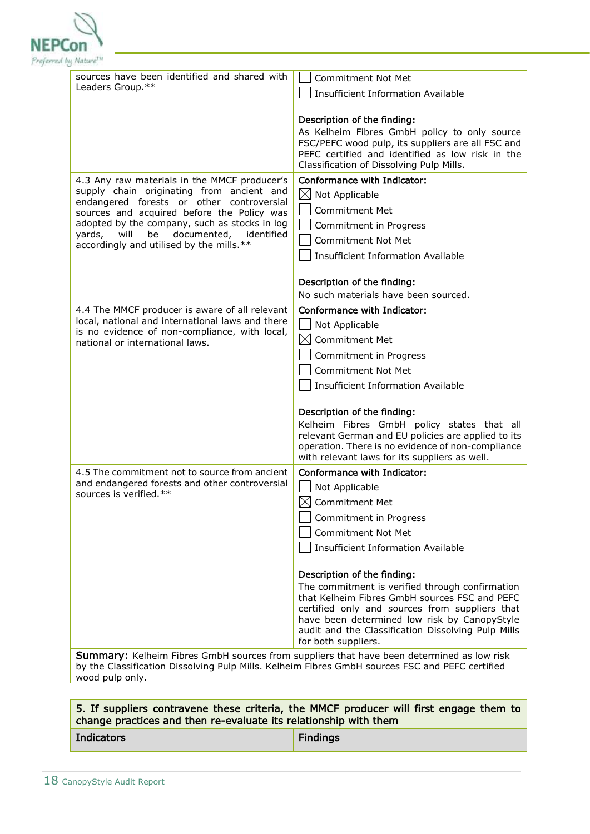

| sources have been identified and shared with<br>Leaders Group.**                                  | <b>Commitment Not Met</b>                                                                         |  |
|---------------------------------------------------------------------------------------------------|---------------------------------------------------------------------------------------------------|--|
|                                                                                                   | <b>Insufficient Information Available</b>                                                         |  |
|                                                                                                   |                                                                                                   |  |
|                                                                                                   | Description of the finding:                                                                       |  |
|                                                                                                   | As Kelheim Fibres GmbH policy to only source<br>FSC/PEFC wood pulp, its suppliers are all FSC and |  |
|                                                                                                   | PEFC certified and identified as low risk in the                                                  |  |
|                                                                                                   | Classification of Dissolving Pulp Mills.                                                          |  |
| 4.3 Any raw materials in the MMCF producer's                                                      | <b>Conformance with Indicator:</b>                                                                |  |
| supply chain originating from ancient and<br>endangered forests or other controversial            | $\boxtimes$ Not Applicable                                                                        |  |
| sources and acquired before the Policy was                                                        | <b>Commitment Met</b>                                                                             |  |
| adopted by the company, such as stocks in log                                                     | Commitment in Progress                                                                            |  |
| documented,<br>will<br>be<br>identified<br>yards,<br>accordingly and utilised by the mills.**     | <b>Commitment Not Met</b>                                                                         |  |
|                                                                                                   | <b>Insufficient Information Available</b>                                                         |  |
|                                                                                                   |                                                                                                   |  |
|                                                                                                   | Description of the finding:                                                                       |  |
|                                                                                                   | No such materials have been sourced.                                                              |  |
| 4.4 The MMCF producer is aware of all relevant                                                    | Conformance with Indicator:                                                                       |  |
| local, national and international laws and there<br>is no evidence of non-compliance, with local, | Not Applicable                                                                                    |  |
| national or international laws.                                                                   | $\boxtimes$ Commitment Met                                                                        |  |
|                                                                                                   | Commitment in Progress                                                                            |  |
|                                                                                                   | <b>Commitment Not Met</b>                                                                         |  |
|                                                                                                   | <b>Insufficient Information Available</b>                                                         |  |
|                                                                                                   |                                                                                                   |  |
|                                                                                                   | Description of the finding:                                                                       |  |
|                                                                                                   | Kelheim Fibres GmbH policy states that all<br>relevant German and EU policies are applied to its  |  |
|                                                                                                   | operation. There is no evidence of non-compliance                                                 |  |
|                                                                                                   | with relevant laws for its suppliers as well.                                                     |  |
| 4.5 The commitment not to source from ancient                                                     | <b>Conformance with Indicator:</b>                                                                |  |
| and endangered forests and other controversial<br>sources is verified.**                          | Not Applicable                                                                                    |  |
|                                                                                                   | $\boxtimes$<br><b>Commitment Met</b>                                                              |  |
|                                                                                                   | Commitment in Progress                                                                            |  |
|                                                                                                   | <b>Commitment Not Met</b>                                                                         |  |
|                                                                                                   | <b>Insufficient Information Available</b>                                                         |  |
|                                                                                                   |                                                                                                   |  |
|                                                                                                   | Description of the finding:                                                                       |  |
|                                                                                                   | The commitment is verified through confirmation<br>that Kelheim Fibres GmbH sources FSC and PEFC  |  |
|                                                                                                   | certified only and sources from suppliers that                                                    |  |
|                                                                                                   | have been determined low risk by CanopyStyle                                                      |  |
|                                                                                                   | audit and the Classification Dissolving Pulp Mills<br>for both suppliers.                         |  |
|                                                                                                   | Summary: Kelheim Fibres GmbH sources from suppliers that have been determined as low risk         |  |
| by the Classification Dissolving Pulp Mills. Kelheim Fibres GmbH sources FSC and PEFC certified   |                                                                                                   |  |

wood pulp only.

#### 5. If suppliers contravene these criteria, the MMCF producer will first engage them to change practices and then re-evaluate its relationship with them

**Indicators Findings**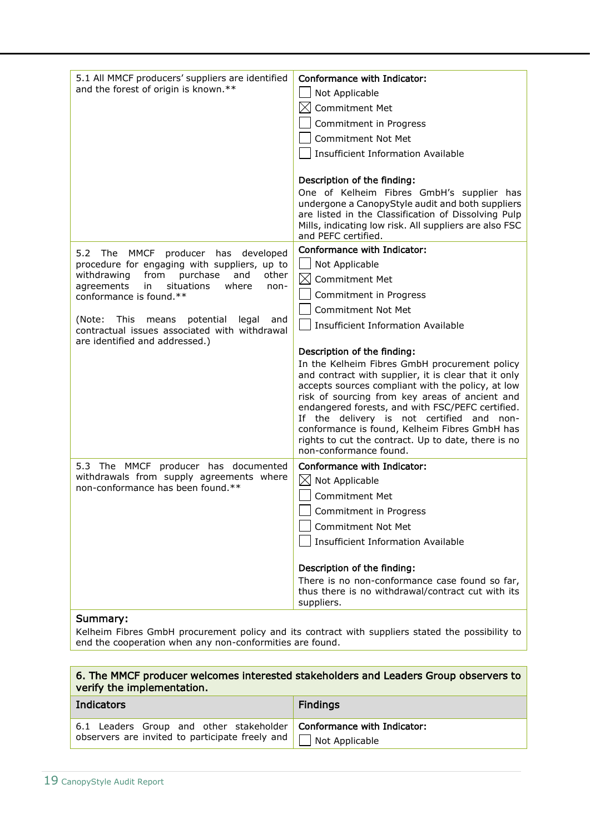| 5.1 All MMCF producers' suppliers are identified<br>and the forest of origin is known.**                                                                                                                                                                                                                                                                        | Conformance with Indicator:<br>Not Applicable<br>$\boxtimes$ Commitment Met<br>Commitment in Progress<br><b>Commitment Not Met</b><br><b>Insufficient Information Available</b>                                                                                                                                                                                                        |
|-----------------------------------------------------------------------------------------------------------------------------------------------------------------------------------------------------------------------------------------------------------------------------------------------------------------------------------------------------------------|----------------------------------------------------------------------------------------------------------------------------------------------------------------------------------------------------------------------------------------------------------------------------------------------------------------------------------------------------------------------------------------|
|                                                                                                                                                                                                                                                                                                                                                                 | Description of the finding:<br>One of Kelheim Fibres GmbH's supplier has<br>undergone a CanopyStyle audit and both suppliers<br>are listed in the Classification of Dissolving Pulp<br>Mills, indicating low risk. All suppliers are also FSC<br>and PEFC certified.                                                                                                                   |
| 5.2 The MMCF producer has developed<br>procedure for engaging with suppliers, up to<br>from<br>withdrawing<br>purchase<br>and<br>other<br>agreements<br>in<br>situations<br>where<br>non-<br>conformance is found.**<br>(Note:<br>This<br>means<br>potential<br>legal<br>and<br>contractual issues associated with withdrawal<br>are identified and addressed.) | Conformance with Indicator:<br>Not Applicable<br>$\boxtimes$<br><b>Commitment Met</b><br>Commitment in Progress<br><b>Commitment Not Met</b><br><b>Insufficient Information Available</b><br>Description of the finding:<br>In the Kelheim Fibres GmbH procurement policy<br>and contract with supplier, it is clear that it only<br>accepts sources compliant with the policy, at low |
|                                                                                                                                                                                                                                                                                                                                                                 | risk of sourcing from key areas of ancient and<br>endangered forests, and with FSC/PEFC certified.<br>If the delivery is not certified and non-<br>conformance is found, Kelheim Fibres GmbH has<br>rights to cut the contract. Up to date, there is no<br>non-conformance found.                                                                                                      |
| 5.3 The MMCF producer has documented<br>withdrawals from supply agreements where<br>non-conformance has been found.**                                                                                                                                                                                                                                           | Conformance with Indicator:<br>$\boxtimes$ Not Applicable<br><b>Commitment Met</b><br>$\Box$ Commitment in Progress<br><b>Commitment Not Met</b><br><b>Insufficient Information Available</b>                                                                                                                                                                                          |
| Summary:                                                                                                                                                                                                                                                                                                                                                        | Description of the finding:<br>There is no non-conformance case found so far,<br>thus there is no withdrawal/contract cut with its<br>suppliers.                                                                                                                                                                                                                                       |

Kelheim Fibres GmbH procurement policy and its contract with suppliers stated the possibility to end the cooperation when any non-conformities are found.

#### 6. The MMCF producer welcomes interested stakeholders and Leaders Group observers to verify the implementation.

| <b>Indicators</b>                                                     | <b>Findings</b> |
|-----------------------------------------------------------------------|-----------------|
| 6.1 Leaders Group and other stakeholder Conformance with Indicator:   |                 |
| observers are invited to participate freely and $\Box$ Not Applicable |                 |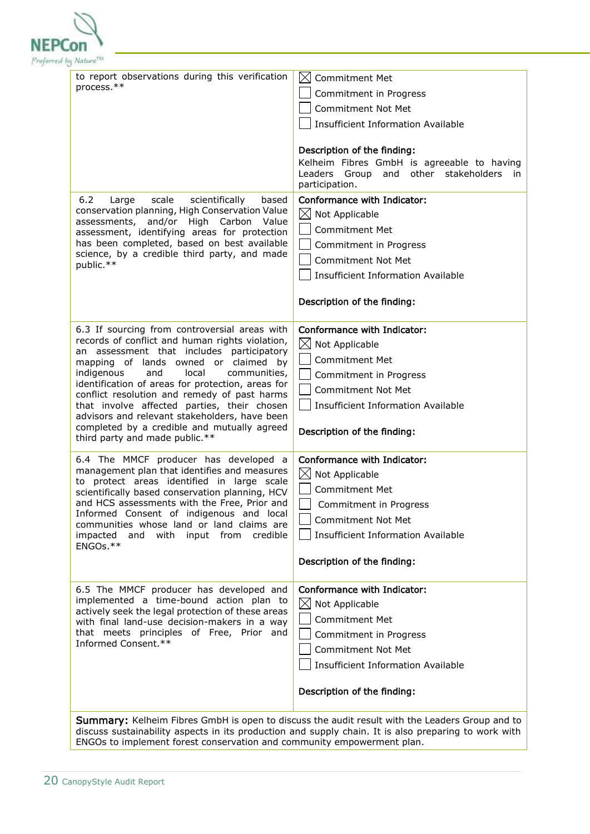

| to report observations during this verification<br>process.**                                                                                                                                                                                                                                                                                                                                                                                                                                                             | $\boxtimes$ Commitment Met<br>Commitment in Progress<br><b>Commitment Not Met</b><br><b>Insufficient Information Available</b><br>Description of the finding:<br>Kelheim Fibres GmbH is agreeable to having<br>Leaders<br>Group<br>and other stakeholders<br><i>in</i><br>participation. |
|---------------------------------------------------------------------------------------------------------------------------------------------------------------------------------------------------------------------------------------------------------------------------------------------------------------------------------------------------------------------------------------------------------------------------------------------------------------------------------------------------------------------------|------------------------------------------------------------------------------------------------------------------------------------------------------------------------------------------------------------------------------------------------------------------------------------------|
| 6.2<br>scientifically<br>scale<br>based<br>Large<br>conservation planning, High Conservation Value<br>and/or High Carbon<br>assessments,<br>Value<br>assessment, identifying areas for protection<br>has been completed, based on best available<br>science, by a credible third party, and made<br>public.**                                                                                                                                                                                                             | Conformance with Indicator:<br>$\boxtimes$ Not Applicable<br><b>Commitment Met</b><br>Commitment in Progress<br><b>Commitment Not Met</b><br><b>Insufficient Information Available</b><br>Description of the finding:                                                                    |
| 6.3 If sourcing from controversial areas with<br>records of conflict and human rights violation,<br>an assessment that includes participatory<br>mapping of lands owned or claimed by<br>indigenous<br>and<br>local<br>communities,<br>identification of areas for protection, areas for<br>conflict resolution and remedy of past harms<br>that involve affected parties, their chosen<br>advisors and relevant stakeholders, have been<br>completed by a credible and mutually agreed<br>third party and made public.** | Conformance with Indicator:<br>$\boxtimes$ Not Applicable<br><b>Commitment Met</b><br>Commitment in Progress<br><b>Commitment Not Met</b><br><b>Insufficient Information Available</b><br>Description of the finding:                                                                    |
| 6.4 The MMCF producer has developed a<br>management plan that identifies and measures<br>to protect areas identified in large scale<br>scientifically based conservation planning, HCV<br>and HCS assessments with the Free, Prior and<br>Informed Consent of indigenous and local<br>communities whose land or land claims are<br>with<br>input from<br>credible<br>impacted<br>and<br>ENGOs.**                                                                                                                          | Conformance with Indicator:<br>$\boxtimes$ Not Applicable<br><b>Commitment Met</b><br>Commitment in Progress<br><b>Commitment Not Met</b><br><b>Insufficient Information Available</b><br>Description of the finding:                                                                    |
| 6.5 The MMCF producer has developed and<br>implemented a time-bound action plan to<br>actively seek the legal protection of these areas<br>with final land-use decision-makers in a way<br>that meets principles of Free, Prior and<br>Informed Consent.**                                                                                                                                                                                                                                                                | Conformance with Indicator:<br>$\boxtimes$ Not Applicable<br><b>Commitment Met</b><br>Commitment in Progress<br><b>Commitment Not Met</b><br><b>Insufficient Information Available</b><br>Description of the finding:                                                                    |

discuss sustainability aspects in its production and supply chain. It is also preparing to work with ENGOs to implement forest conservation and community empowerment plan.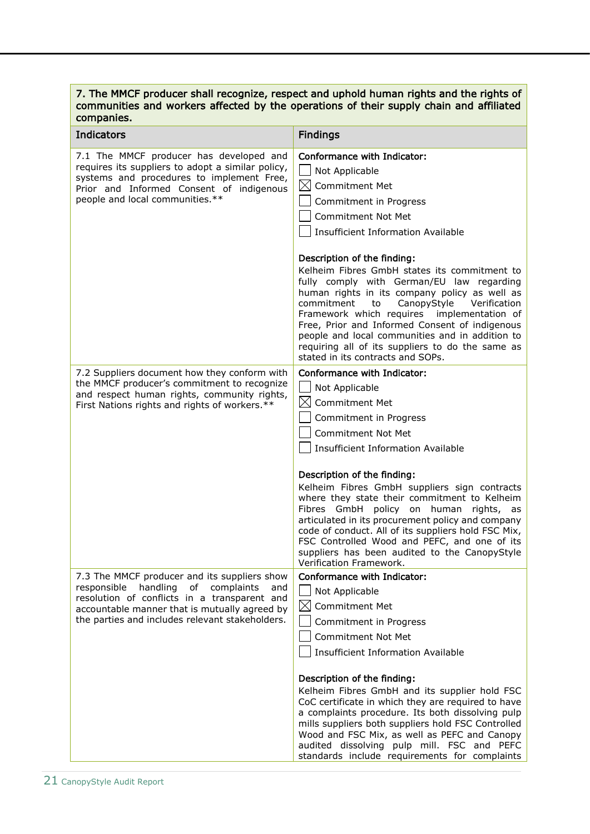#### 7. The MMCF producer shall recognize, respect and uphold human rights and the rights of communities and workers affected by the operations of their supply chain and affiliated companies.

| <b>Indicators</b>                                                                                                                                                                                                                                      | <b>Findings</b>                                                                                                                                                                                                                                                                                                                                                                                                                                                                                                                                                                                           |
|--------------------------------------------------------------------------------------------------------------------------------------------------------------------------------------------------------------------------------------------------------|-----------------------------------------------------------------------------------------------------------------------------------------------------------------------------------------------------------------------------------------------------------------------------------------------------------------------------------------------------------------------------------------------------------------------------------------------------------------------------------------------------------------------------------------------------------------------------------------------------------|
| 7.1 The MMCF producer has developed and<br>requires its suppliers to adopt a similar policy,<br>systems and procedures to implement Free,<br>Prior and Informed Consent of indigenous<br>people and local communities.**                               | Conformance with Indicator:<br>Not Applicable<br>$\boxtimes$<br><b>Commitment Met</b><br>Commitment in Progress<br>Commitment Not Met<br><b>Insufficient Information Available</b>                                                                                                                                                                                                                                                                                                                                                                                                                        |
|                                                                                                                                                                                                                                                        | Description of the finding:<br>Kelheim Fibres GmbH states its commitment to<br>fully comply with German/EU law regarding<br>human rights in its company policy as well as<br>commitment<br>CanopyStyle<br>Verification<br>to<br>Framework which requires implementation of<br>Free, Prior and Informed Consent of indigenous<br>people and local communities and in addition to<br>requiring all of its suppliers to do the same as<br>stated in its contracts and SOPs.                                                                                                                                  |
| 7.2 Suppliers document how they conform with<br>the MMCF producer's commitment to recognize<br>and respect human rights, community rights,<br>First Nations rights and rights of workers.**                                                            | Conformance with Indicator:<br>Not Applicable<br>$\boxtimes$<br><b>Commitment Met</b><br>Commitment in Progress<br><b>Commitment Not Met</b><br><b>Insufficient Information Available</b><br>Description of the finding:<br>Kelheim Fibres GmbH suppliers sign contracts<br>where they state their commitment to Kelheim<br>Fibres GmbH policy on human rights, as<br>articulated in its procurement policy and company<br>code of conduct. All of its suppliers hold FSC Mix,<br>FSC Controlled Wood and PEFC, and one of its<br>suppliers has been audited to the CanopyStyle                           |
| 7.3 The MMCF producer and its suppliers show<br>handling<br>of<br>complaints<br>responsible<br>and<br>resolution of conflicts in a transparent and<br>accountable manner that is mutually agreed by<br>the parties and includes relevant stakeholders. | Verification Framework.<br>Conformance with Indicator:<br>Not Applicable<br>$\boxtimes$ Commitment Met<br>Commitment in Progress<br><b>Commitment Not Met</b><br><b>Insufficient Information Available</b><br>Description of the finding:<br>Kelheim Fibres GmbH and its supplier hold FSC<br>CoC certificate in which they are required to have<br>a complaints procedure. Its both dissolving pulp<br>mills suppliers both suppliers hold FSC Controlled<br>Wood and FSC Mix, as well as PEFC and Canopy<br>audited dissolving pulp mill. FSC and PEFC<br>standards include requirements for complaints |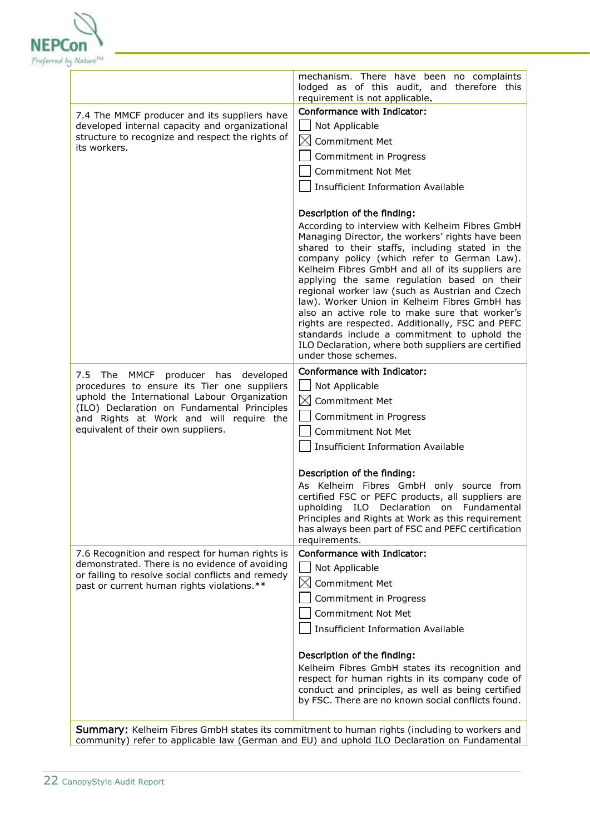

|                                                                                                                                                                                                                                                                       | mechanism. There have been no complaints<br>lodged as of this audit, and therefore this<br>requirement is not applicable.                                                                                                                                                                                                                                                                                                                                                                                                                                                                                                                                                        |
|-----------------------------------------------------------------------------------------------------------------------------------------------------------------------------------------------------------------------------------------------------------------------|----------------------------------------------------------------------------------------------------------------------------------------------------------------------------------------------------------------------------------------------------------------------------------------------------------------------------------------------------------------------------------------------------------------------------------------------------------------------------------------------------------------------------------------------------------------------------------------------------------------------------------------------------------------------------------|
| 7.4 The MMCF producer and its suppliers have<br>developed internal capacity and organizational<br>structure to recognize and respect the rights of<br>its workers.                                                                                                    | Conformance with Indicator:<br>Not Applicable<br>$\boxtimes$<br>Commitment Met<br>Commitment in Progress<br><b>Commitment Not Met</b><br><b>Insufficient Information Available</b>                                                                                                                                                                                                                                                                                                                                                                                                                                                                                               |
|                                                                                                                                                                                                                                                                       | Description of the finding:<br>According to interview with Kelheim Fibres GmbH<br>Managing Director, the workers' rights have been<br>shared to their staffs, including stated in the<br>company policy (which refer to German Law).<br>Kelheim Fibres GmbH and all of its suppliers are<br>applying the same regulation based on their<br>regional worker law (such as Austrian and Czech<br>law). Worker Union in Kelheim Fibres GmbH has<br>also an active role to make sure that worker's<br>rights are respected. Additionally, FSC and PEFC<br>standards include a commitment to uphold the<br>ILO Declaration, where both suppliers are certified<br>under those schemes. |
| 7.5 The MMCF<br>producer has developed<br>procedures to ensure its Tier one suppliers<br>uphold the International Labour Organization<br>(ILO) Declaration on Fundamental Principles<br>and Rights at Work and will require the<br>equivalent of their own suppliers. | Conformance with Indicator:<br>Not Applicable<br>$\boxtimes$<br>Commitment Met<br>Commitment in Progress<br><b>Commitment Not Met</b><br><b>Insufficient Information Available</b>                                                                                                                                                                                                                                                                                                                                                                                                                                                                                               |
|                                                                                                                                                                                                                                                                       | Description of the finding:<br>As Kelheim Fibres GmbH only source from<br>certified FSC or PEFC products, all suppliers are<br>upholding ILO Declaration on Fundamental<br>Principles and Rights at Work as this requirement<br>has always been part of FSC and PEFC certification<br>requirements.                                                                                                                                                                                                                                                                                                                                                                              |
| 7.6 Recognition and respect for human rights is<br>demonstrated. There is no evidence of avoiding<br>or failing to resolve social conflicts and remedy<br>past or current human rights violations.**                                                                  | Conformance with Indicator:<br>Not Applicable<br>$\boxtimes$<br><b>Commitment Met</b><br>Commitment in Progress<br><b>Commitment Not Met</b><br><b>Insufficient Information Available</b><br>Description of the finding:                                                                                                                                                                                                                                                                                                                                                                                                                                                         |
|                                                                                                                                                                                                                                                                       | Kelheim Fibres GmbH states its recognition and<br>respect for human rights in its company code of<br>conduct and principles, as well as being certified<br>by FSC. There are no known social conflicts found.                                                                                                                                                                                                                                                                                                                                                                                                                                                                    |

Summary: Kelheim Fibres GmbH states its commitment to human rights (including to workers and community) refer to applicable law (German and EU) and uphold ILO Declaration on Fundamental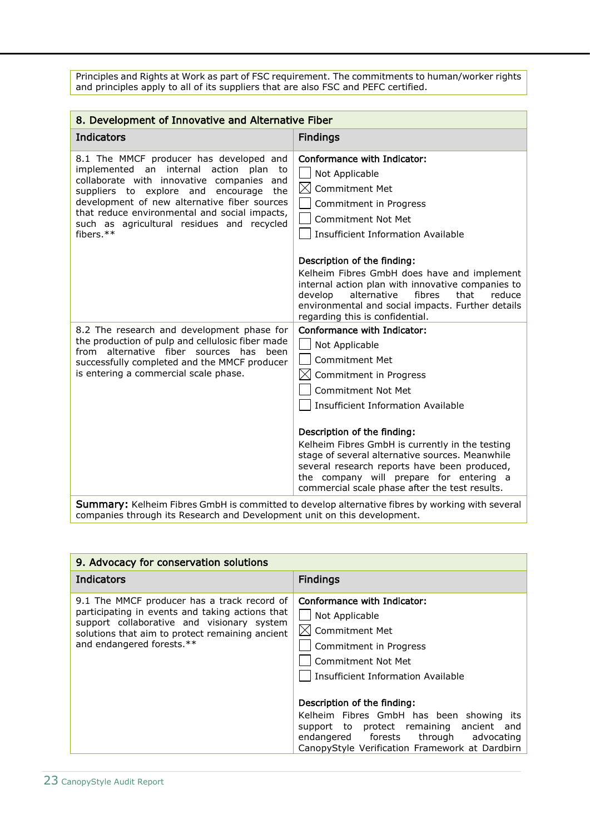Principles and Rights at Work as part of FSC requirement. The commitments to human/worker rights and principles apply to all of its suppliers that are also FSC and PEFC certified.

| 8. Development of Innovative and Alternative Fiber                                                                                                                                                                                                                                                                                                     |                                                                                                                                                                                                                                                                                                                                                                                                                                                                   |
|--------------------------------------------------------------------------------------------------------------------------------------------------------------------------------------------------------------------------------------------------------------------------------------------------------------------------------------------------------|-------------------------------------------------------------------------------------------------------------------------------------------------------------------------------------------------------------------------------------------------------------------------------------------------------------------------------------------------------------------------------------------------------------------------------------------------------------------|
| <b>Indicators</b>                                                                                                                                                                                                                                                                                                                                      | <b>Findings</b>                                                                                                                                                                                                                                                                                                                                                                                                                                                   |
| 8.1 The MMCF producer has developed and<br>implemented an internal<br>action<br>plan<br>to<br>collaborate with innovative companies<br>and<br>suppliers to explore and<br>encourage<br>the<br>development of new alternative fiber sources<br>that reduce environmental and social impacts,<br>such as agricultural residues and recycled<br>fibers.** | Conformance with Indicator:<br>Not Applicable<br>$\boxtimes$<br><b>Commitment Met</b><br>Commitment in Progress<br>Commitment Not Met<br><b>Insufficient Information Available</b>                                                                                                                                                                                                                                                                                |
|                                                                                                                                                                                                                                                                                                                                                        | Description of the finding:<br>Kelheim Fibres GmbH does have and implement<br>internal action plan with innovative companies to<br>alternative<br>fibres<br>that<br>develop<br>reduce<br>environmental and social impacts. Further details<br>regarding this is confidential.                                                                                                                                                                                     |
| 8.2 The research and development phase for<br>the production of pulp and cellulosic fiber made<br>from alternative fiber sources has<br>heen<br>successfully completed and the MMCF producer<br>is entering a commercial scale phase.                                                                                                                  | Conformance with Indicator:<br>Not Applicable<br><b>Commitment Met</b><br>M<br>Commitment in Progress<br><b>Commitment Not Met</b><br><b>Insufficient Information Available</b><br>Description of the finding:<br>Kelheim Fibres GmbH is currently in the testing<br>stage of several alternative sources. Meanwhile<br>several research reports have been produced,<br>the company will prepare for entering a<br>commercial scale phase after the test results. |
| <b>Summary:</b> Kelheim Fibres GmbH is committed to develop alternative fibres by working with several                                                                                                                                                                                                                                                 |                                                                                                                                                                                                                                                                                                                                                                                                                                                                   |

Summary: Kelheim Fibres GmbH is committed to develop alternative fibres by working with several companies through its Research and Development unit on this development.

| 9. Advocacy for conservation solutions                                                                                                                                                                                       |                                                                                                                                                                                                                                                                                                                                                                                           |
|------------------------------------------------------------------------------------------------------------------------------------------------------------------------------------------------------------------------------|-------------------------------------------------------------------------------------------------------------------------------------------------------------------------------------------------------------------------------------------------------------------------------------------------------------------------------------------------------------------------------------------|
| <b>Indicators</b>                                                                                                                                                                                                            | <b>Findings</b>                                                                                                                                                                                                                                                                                                                                                                           |
| 9.1 The MMCF producer has a track record of<br>participating in events and taking actions that<br>support collaborative and visionary system<br>solutions that aim to protect remaining ancient<br>and endangered forests.** | Conformance with Indicator:<br>Not Applicable<br>$\boxtimes$ Commitment Met<br>Commitment in Progress<br>Commitment Not Met<br>Insufficient Information Available<br>Description of the finding:<br>Kelheim Fibres GmbH has been showing<br>its<br>support to protect remaining ancient and<br>endangered forests<br>through advocating<br>CanopyStyle Verification Framework at Dardbirn |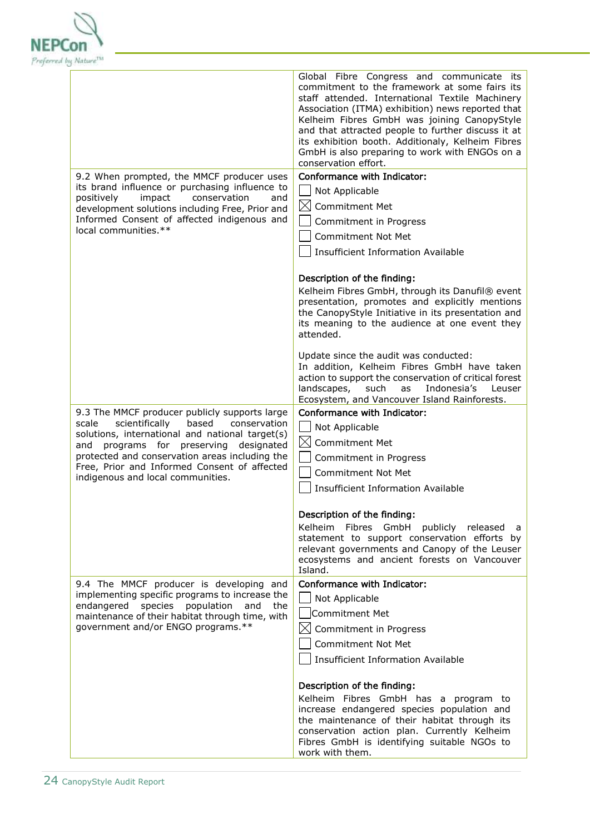

|                                                                                                     | Global Fibre Congress and communicate its<br>commitment to the framework at some fairs its<br>staff attended. International Textile Machinery<br>Association (ITMA) exhibition) news reported that<br>Kelheim Fibres GmbH was joining CanopyStyle<br>and that attracted people to further discuss it at<br>its exhibition booth. Additionaly, Kelheim Fibres<br>GmbH is also preparing to work with ENGOs on a<br>conservation effort. |
|-----------------------------------------------------------------------------------------------------|----------------------------------------------------------------------------------------------------------------------------------------------------------------------------------------------------------------------------------------------------------------------------------------------------------------------------------------------------------------------------------------------------------------------------------------|
| 9.2 When prompted, the MMCF producer uses                                                           | Conformance with Indicator:                                                                                                                                                                                                                                                                                                                                                                                                            |
| its brand influence or purchasing influence to                                                      | Not Applicable                                                                                                                                                                                                                                                                                                                                                                                                                         |
| positively<br>impact<br>conservation<br>and<br>development solutions including Free, Prior and      | $\boxtimes$ Commitment Met                                                                                                                                                                                                                                                                                                                                                                                                             |
| Informed Consent of affected indigenous and                                                         | Commitment in Progress                                                                                                                                                                                                                                                                                                                                                                                                                 |
| local communities.**                                                                                | <b>Commitment Not Met</b>                                                                                                                                                                                                                                                                                                                                                                                                              |
|                                                                                                     | <b>Insufficient Information Available</b>                                                                                                                                                                                                                                                                                                                                                                                              |
|                                                                                                     | Description of the finding:                                                                                                                                                                                                                                                                                                                                                                                                            |
|                                                                                                     | Kelheim Fibres GmbH, through its Danufil® event                                                                                                                                                                                                                                                                                                                                                                                        |
|                                                                                                     | presentation, promotes and explicitly mentions<br>the CanopyStyle Initiative in its presentation and<br>its meaning to the audience at one event they<br>attended.                                                                                                                                                                                                                                                                     |
|                                                                                                     | Update since the audit was conducted:<br>In addition, Kelheim Fibres GmbH have taken<br>action to support the conservation of critical forest<br>landscapes,<br>such<br>Indonesia's<br>as<br>Leuser<br>Ecosystem, and Vancouver Island Rainforests.                                                                                                                                                                                    |
| 9.3 The MMCF producer publicly supports large                                                       | Conformance with Indicator:                                                                                                                                                                                                                                                                                                                                                                                                            |
| scientifically<br>scale<br>based<br>conservation<br>solutions, international and national target(s) | Not Applicable                                                                                                                                                                                                                                                                                                                                                                                                                         |
| programs for preserving designated<br>and                                                           | $\boxtimes$ Commitment Met                                                                                                                                                                                                                                                                                                                                                                                                             |
| protected and conservation areas including the                                                      | Commitment in Progress                                                                                                                                                                                                                                                                                                                                                                                                                 |
| Free, Prior and Informed Consent of affected<br>indigenous and local communities.                   | <b>Commitment Not Met</b>                                                                                                                                                                                                                                                                                                                                                                                                              |
|                                                                                                     | <b>Insufficient Information Available</b>                                                                                                                                                                                                                                                                                                                                                                                              |
|                                                                                                     | Description of the finding:                                                                                                                                                                                                                                                                                                                                                                                                            |
|                                                                                                     | Kelheim Fibres GmbH<br>publicly released<br>a                                                                                                                                                                                                                                                                                                                                                                                          |
|                                                                                                     | statement to support conservation efforts by<br>relevant governments and Canopy of the Leuser<br>ecosystems and ancient forests on Vancouver<br>Island.                                                                                                                                                                                                                                                                                |
| 9.4 The MMCF producer is developing and                                                             | Conformance with Indicator:                                                                                                                                                                                                                                                                                                                                                                                                            |
| implementing specific programs to increase the<br>endangered<br>species population<br>and<br>the    | Not Applicable                                                                                                                                                                                                                                                                                                                                                                                                                         |
| maintenance of their habitat through time, with                                                     | Commitment Met                                                                                                                                                                                                                                                                                                                                                                                                                         |
| government and/or ENGO programs.**                                                                  | $\boxtimes$ Commitment in Progress                                                                                                                                                                                                                                                                                                                                                                                                     |
|                                                                                                     | <b>Commitment Not Met</b>                                                                                                                                                                                                                                                                                                                                                                                                              |
|                                                                                                     | <b>Insufficient Information Available</b>                                                                                                                                                                                                                                                                                                                                                                                              |
|                                                                                                     | Description of the finding:                                                                                                                                                                                                                                                                                                                                                                                                            |
|                                                                                                     | Kelheim Fibres GmbH has a program to<br>increase endangered species population and                                                                                                                                                                                                                                                                                                                                                     |
|                                                                                                     | the maintenance of their habitat through its                                                                                                                                                                                                                                                                                                                                                                                           |
|                                                                                                     | conservation action plan. Currently Kelheim                                                                                                                                                                                                                                                                                                                                                                                            |
|                                                                                                     | Fibres GmbH is identifying suitable NGOs to<br>work with them.                                                                                                                                                                                                                                                                                                                                                                         |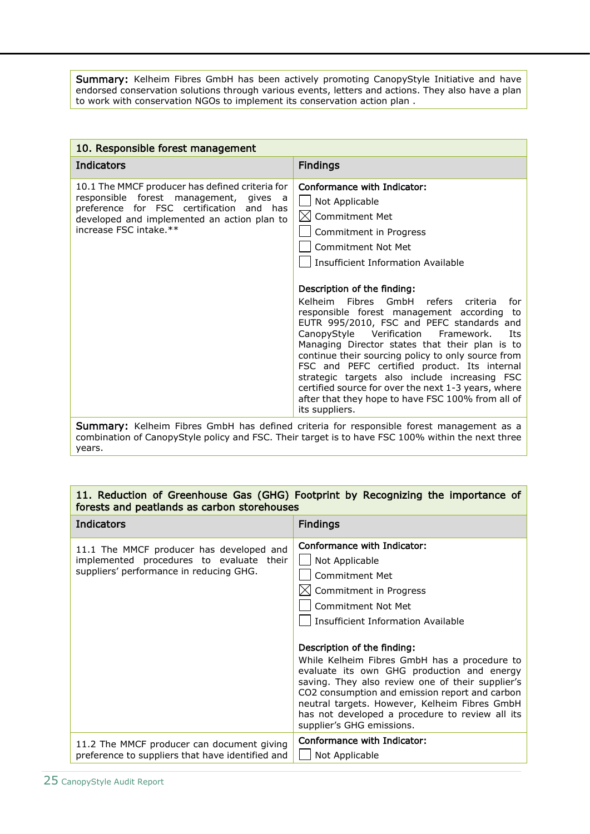Summary: Kelheim Fibres GmbH has been actively promoting CanopyStyle Initiative and have endorsed conservation solutions through various events, letters and actions. They also have a plan to work with conservation NGOs to implement its conservation action plan .

| 10. Responsible forest management                                                                                                                                                                              |                                                                                                                                                                                                                                                                                                                                                                                                                                                                                                                                                                                                                                                                                                                                          |
|----------------------------------------------------------------------------------------------------------------------------------------------------------------------------------------------------------------|------------------------------------------------------------------------------------------------------------------------------------------------------------------------------------------------------------------------------------------------------------------------------------------------------------------------------------------------------------------------------------------------------------------------------------------------------------------------------------------------------------------------------------------------------------------------------------------------------------------------------------------------------------------------------------------------------------------------------------------|
| <b>Indicators</b>                                                                                                                                                                                              | <b>Findings</b>                                                                                                                                                                                                                                                                                                                                                                                                                                                                                                                                                                                                                                                                                                                          |
| 10.1 The MMCF producer has defined criteria for<br>responsible forest management, gives a<br>preference for FSC certification and has<br>developed and implemented an action plan to<br>increase FSC intake.** | Conformance with Indicator:<br>Not Applicable<br>$\boxtimes$ Commitment Met<br>Commitment in Progress<br><b>Commitment Not Met</b><br>Insufficient Information Available<br>Description of the finding:<br>Kelheim Fibres<br>GmbH refers criteria<br>for<br>responsible forest management according to<br>EUTR 995/2010, FSC and PEFC standards and<br>CanopyStyle Verification Framework.<br>Its<br>Managing Director states that their plan is to<br>continue their sourcing policy to only source from<br>FSC and PEFC certified product. Its internal<br>strategic targets also include increasing FSC<br>certified source for over the next 1-3 years, where<br>after that they hope to have FSC 100% from all of<br>its suppliers. |
|                                                                                                                                                                                                                | <b>Summary:</b> Kelheim Fibres GmbH has defined criteria for responsible forest management as a<br>combination of Canony Ctyle policy and ECC. Their target is to baye ECC 1000/4 within the next three                                                                                                                                                                                                                                                                                                                                                                                                                                                                                                                                  |

combination of CanopyStyle policy and FSC. Their target is to have FSC 100% within the next three years.

#### 11. Reduction of Greenhouse Gas (GHG) Footprint by Recognizing the importance of forests and peatlands as carbon storehouses

| <b>Indicators</b>                                                                                                               | <b>Findings</b>                                                                                                                                                                                                                                                                                                                                                                                                                                                                                                           |
|---------------------------------------------------------------------------------------------------------------------------------|---------------------------------------------------------------------------------------------------------------------------------------------------------------------------------------------------------------------------------------------------------------------------------------------------------------------------------------------------------------------------------------------------------------------------------------------------------------------------------------------------------------------------|
| 11.1 The MMCF producer has developed and<br>implemented procedures to evaluate their<br>suppliers' performance in reducing GHG. | Conformance with Indicator:<br>Not Applicable<br>Commitment Met<br>Commitment in Progress<br>Commitment Not Met<br>Insufficient Information Available<br>Description of the finding:<br>While Kelheim Fibres GmbH has a procedure to<br>evaluate its own GHG production and energy<br>saving. They also review one of their supplier's<br>CO2 consumption and emission report and carbon<br>neutral targets. However, Kelheim Fibres GmbH<br>has not developed a procedure to review all its<br>supplier's GHG emissions. |
| 11.2 The MMCF producer can document giving<br>preference to suppliers that have identified and                                  | Conformance with Indicator:<br>Not Applicable                                                                                                                                                                                                                                                                                                                                                                                                                                                                             |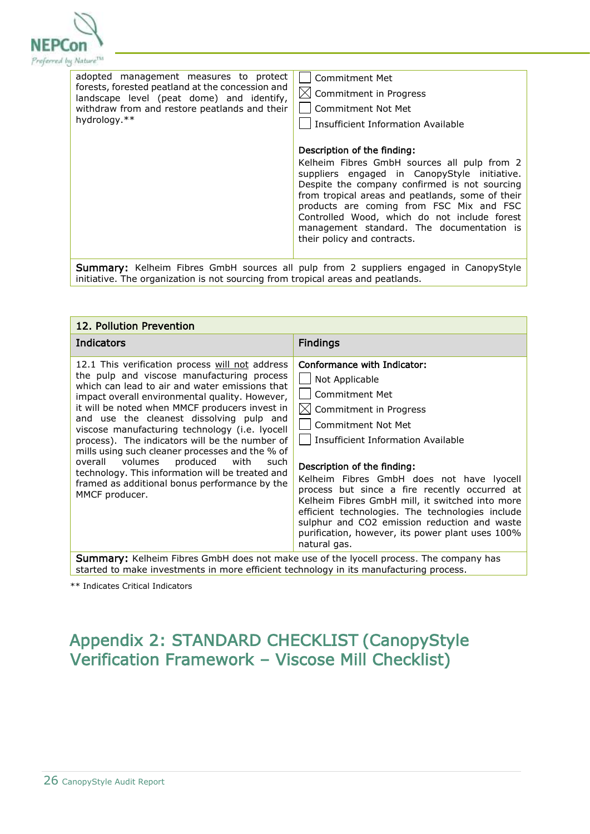

|                                                                                                                                                                                 | adopted management measures to protect<br>forests, forested peatland at the concession and<br>landscape level (peat dome) and identify,<br>withdraw from and restore peatlands and their<br>hydrology.** | Commitment Met<br>$\boxtimes$ Commitment in Progress<br>Commitment Not Met<br>Insufficient Information Available                                                                                                                                                                                                                                                                                        |
|---------------------------------------------------------------------------------------------------------------------------------------------------------------------------------|----------------------------------------------------------------------------------------------------------------------------------------------------------------------------------------------------------|---------------------------------------------------------------------------------------------------------------------------------------------------------------------------------------------------------------------------------------------------------------------------------------------------------------------------------------------------------------------------------------------------------|
|                                                                                                                                                                                 |                                                                                                                                                                                                          | Description of the finding:<br>Kelheim Fibres GmbH sources all pulp from 2<br>suppliers engaged in CanopyStyle initiative.<br>Despite the company confirmed is not sourcing<br>from tropical areas and peatlands, some of their<br>products are coming from FSC Mix and FSC<br>Controlled Wood, which do not include forest<br>management standard. The documentation is<br>their policy and contracts. |
| <b>Summary:</b> Kelheim Fibres GmbH sources all pulp from 2 suppliers engaged in CanopyStyle<br>initiative. The organization is not sourcing from tropical areas and peatlands. |                                                                                                                                                                                                          |                                                                                                                                                                                                                                                                                                                                                                                                         |

| 12. Pollution Prevention                                                                                                                                                                                                                                                                                                                                                                                                                                                                                                                                                                                                  |                                                                                                                                                                                                                                                                                                                                                                                                                                                                                                                                  |
|---------------------------------------------------------------------------------------------------------------------------------------------------------------------------------------------------------------------------------------------------------------------------------------------------------------------------------------------------------------------------------------------------------------------------------------------------------------------------------------------------------------------------------------------------------------------------------------------------------------------------|----------------------------------------------------------------------------------------------------------------------------------------------------------------------------------------------------------------------------------------------------------------------------------------------------------------------------------------------------------------------------------------------------------------------------------------------------------------------------------------------------------------------------------|
| Indicators                                                                                                                                                                                                                                                                                                                                                                                                                                                                                                                                                                                                                | <b>Findings</b>                                                                                                                                                                                                                                                                                                                                                                                                                                                                                                                  |
| 12.1 This verification process will not address<br>the pulp and viscose manufacturing process<br>which can lead to air and water emissions that<br>impact overall environmental quality. However,<br>it will be noted when MMCF producers invest in<br>and use the cleanest dissolving pulp and<br>viscose manufacturing technology (i.e. lyocell<br>process). The indicators will be the number of<br>mills using such cleaner processes and the % of<br>overall volumes produced<br>with<br>such<br>technology. This information will be treated and<br>framed as additional bonus performance by the<br>MMCF producer. | Conformance with Indicator:<br>Not Applicable<br>Commitment Met<br>$\boxtimes$ Commitment in Progress<br><b>Commitment Not Met</b><br>Insufficient Information Available<br>Description of the finding:<br>Kelheim Fibres GmbH does not have lyocell<br>process but since a fire recently occurred at<br>Kelheim Fibres GmbH mill, it switched into more<br>efficient technologies. The technologies include<br>sulphur and CO2 emission reduction and waste<br>purification, however, its power plant uses 100%<br>natural gas. |
| Summary: Kelheim Fibres GmbH does not make use of the lyocell process. The company has<br>started to make investments in more efficient technology in its manufacturing process.                                                                                                                                                                                                                                                                                                                                                                                                                                          |                                                                                                                                                                                                                                                                                                                                                                                                                                                                                                                                  |

\*\* Indicates Critical Indicators

## <span id="page-25-0"></span>Appendix 2: STANDARD CHECKLIST (CanopyStyle Verification Framework – Viscose Mill Checklist)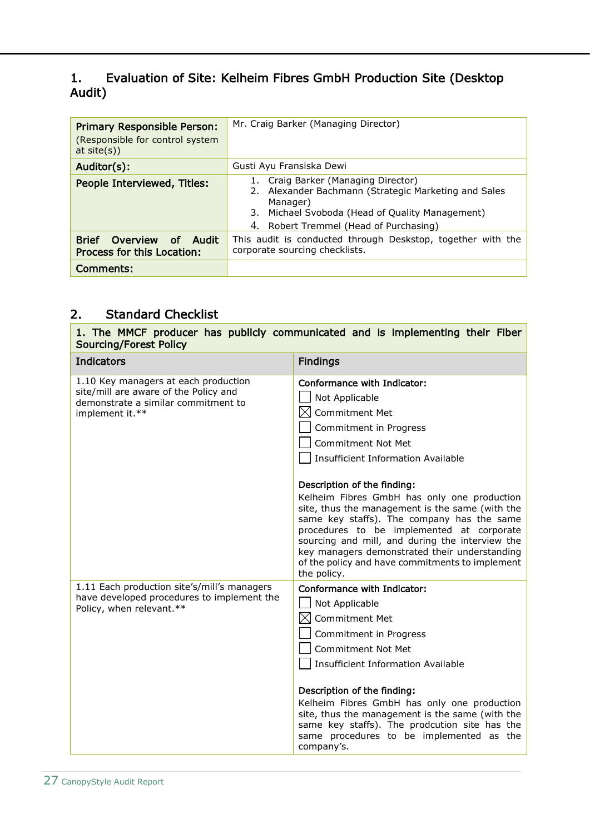### 1. Evaluation of Site: Kelheim Fibres GmbH Production Site (Desktop Audit)

| <b>Primary Responsible Person:</b><br>(Responsible for control system<br>at $site(s)$ ) | Mr. Craig Barker (Managing Director)                                                                                                                                                                 |  |
|-----------------------------------------------------------------------------------------|------------------------------------------------------------------------------------------------------------------------------------------------------------------------------------------------------|--|
| Auditor(s):                                                                             | Gusti Ayu Fransiska Dewi                                                                                                                                                                             |  |
| People Interviewed, Titles:                                                             | Craig Barker (Managing Director)<br>Alexander Bachmann (Strategic Marketing and Sales<br>2.<br>Manager)<br>3. Michael Svoboda (Head of Quality Management)<br>4. Robert Tremmel (Head of Purchasing) |  |
| <b>Brief</b><br>Overview<br>– Audit<br>of .<br>Process for this Location:               | This audit is conducted through Deskstop, together with the<br>corporate sourcing checklists.                                                                                                        |  |
| Comments:                                                                               |                                                                                                                                                                                                      |  |

### 2. Standard Checklist

1. The MMCF producer has publicly communicated and is implementing their Fiber Sourcing/Forest Policy

| <b>Indicators</b>                                                                                                                       | <b>Findings</b>                                                                                                                                                                                                                                                                                                                                                                                                        |
|-----------------------------------------------------------------------------------------------------------------------------------------|------------------------------------------------------------------------------------------------------------------------------------------------------------------------------------------------------------------------------------------------------------------------------------------------------------------------------------------------------------------------------------------------------------------------|
| 1.10 Key managers at each production<br>site/mill are aware of the Policy and<br>demonstrate a similar commitment to<br>implement it.** | Conformance with Indicator:<br>Not Applicable<br>Commitment Met<br>Commitment in Progress<br><b>Commitment Not Met</b><br><b>Insufficient Information Available</b>                                                                                                                                                                                                                                                    |
|                                                                                                                                         | Description of the finding:<br>Kelheim Fibres GmbH has only one production<br>site, thus the management is the same (with the<br>same key staffs). The company has the same<br>procedures to be implemented at corporate<br>sourcing and mill, and during the interview the<br>key managers demonstrated their understanding<br>of the policy and have commitments to implement<br>the policy.                         |
| 1.11 Each production site's/mill's managers<br>have developed procedures to implement the<br>Policy, when relevant.**                   | Conformance with Indicator:<br>Not Applicable<br><b>Commitment Met</b><br>Commitment in Progress<br><b>Commitment Not Met</b><br><b>Insufficient Information Available</b><br>Description of the finding:<br>Kelheim Fibres GmbH has only one production<br>site, thus the management is the same (with the<br>same key staffs). The prodcution site has the<br>same procedures to be implemented as the<br>company's. |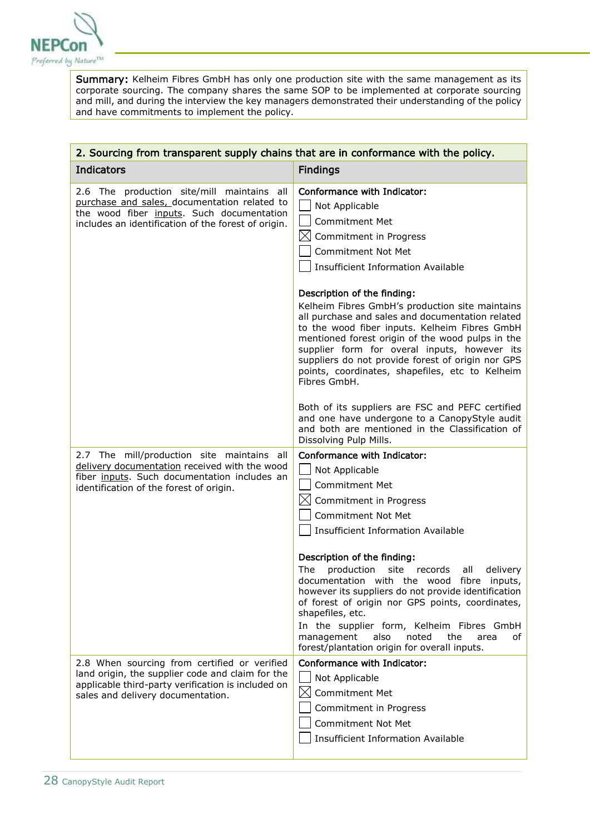

Summary: Kelheim Fibres GmbH has only one production site with the same management as its corporate sourcing. The company shares the same SOP to be implemented at corporate sourcing and mill, and during the interview the key managers demonstrated their understanding of the policy and have commitments to implement the policy.

| 2. Sourcing from transparent supply chains that are in conformance with the policy.                                                                                                            |                                                                                                                                                                                                                                                                                                                                                                                                                           |
|------------------------------------------------------------------------------------------------------------------------------------------------------------------------------------------------|---------------------------------------------------------------------------------------------------------------------------------------------------------------------------------------------------------------------------------------------------------------------------------------------------------------------------------------------------------------------------------------------------------------------------|
| <b>Indicators</b>                                                                                                                                                                              | <b>Findings</b>                                                                                                                                                                                                                                                                                                                                                                                                           |
| 2.6 The production site/mill maintains all<br>purchase and sales, documentation related to<br>the wood fiber inputs. Such documentation<br>includes an identification of the forest of origin. | Conformance with Indicator:<br>Not Applicable<br><b>Commitment Met</b><br>$\bowtie$<br>Commitment in Progress<br><b>Commitment Not Met</b><br><b>Insufficient Information Available</b>                                                                                                                                                                                                                                   |
|                                                                                                                                                                                                | Description of the finding:<br>Kelheim Fibres GmbH's production site maintains<br>all purchase and sales and documentation related<br>to the wood fiber inputs. Kelheim Fibres GmbH<br>mentioned forest origin of the wood pulps in the<br>supplier form for overal inputs, however its<br>suppliers do not provide forest of origin nor GPS<br>points, coordinates, shapefiles, etc to Kelheim<br>Fibres GmbH.           |
|                                                                                                                                                                                                | Both of its suppliers are FSC and PEFC certified<br>and one have undergone to a CanopyStyle audit<br>and both are mentioned in the Classification of<br>Dissolving Pulp Mills.                                                                                                                                                                                                                                            |
| 2.7 The mill/production site maintains all<br>delivery documentation received with the wood<br>fiber inputs. Such documentation includes an<br>identification of the forest of origin.         | Conformance with Indicator:<br>Not Applicable<br><b>Commitment Met</b><br>$\boxtimes$ Commitment in Progress<br><b>Commitment Not Met</b><br><b>Insufficient Information Available</b>                                                                                                                                                                                                                                    |
|                                                                                                                                                                                                | Description of the finding:<br>production<br>site<br>The<br>records<br>all<br>delivery<br>documentation with the wood<br>fibre<br>inputs,<br>however its suppliers do not provide identification<br>of forest of origin nor GPS points, coordinates,<br>shapefiles, etc.<br>In the supplier form, Kelheim Fibres GmbH<br>management<br>also<br>noted<br>the<br>area<br>οf<br>forest/plantation origin for overall inputs. |
| 2.8 When sourcing from certified or verified<br>land origin, the supplier code and claim for the<br>applicable third-party verification is included on<br>sales and delivery documentation.    | Conformance with Indicator:<br>Not Applicable<br>$\boxtimes$<br><b>Commitment Met</b><br>Commitment in Progress<br>Commitment Not Met<br><b>Insufficient Information Available</b>                                                                                                                                                                                                                                        |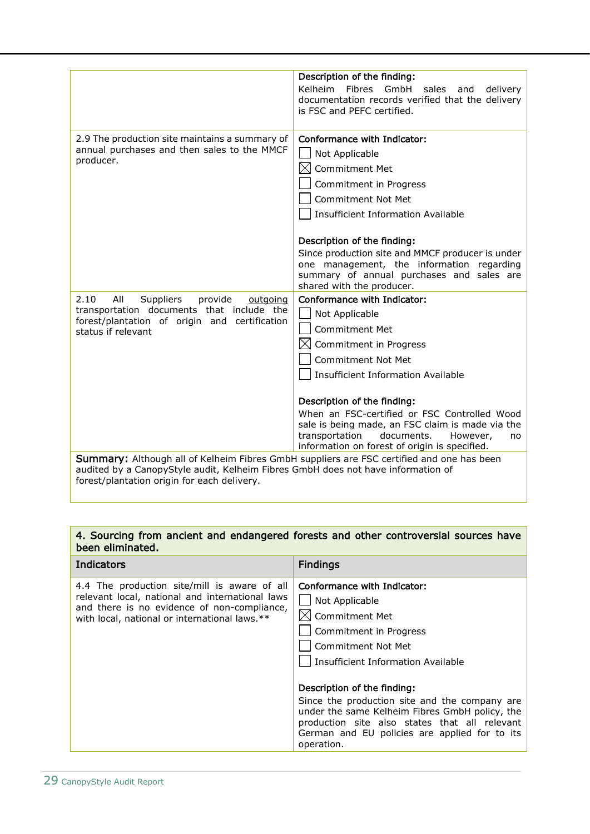|                                                                                                  | Description of the finding:<br><b>Kelheim</b><br>Fibres<br>GmbH<br>sales<br>and                    |
|--------------------------------------------------------------------------------------------------|----------------------------------------------------------------------------------------------------|
|                                                                                                  | delivery<br>documentation records verified that the delivery                                       |
|                                                                                                  | is FSC and PEFC certified.                                                                         |
|                                                                                                  |                                                                                                    |
| 2.9 The production site maintains a summary of<br>annual purchases and then sales to the MMCF    | Conformance with Indicator:                                                                        |
|                                                                                                  | Not Applicable                                                                                     |
| producer.                                                                                        | <b>Commitment Met</b>                                                                              |
|                                                                                                  | Commitment in Progress                                                                             |
|                                                                                                  | <b>Commitment Not Met</b>                                                                          |
|                                                                                                  | <b>Insufficient Information Available</b>                                                          |
|                                                                                                  |                                                                                                    |
|                                                                                                  | Description of the finding:                                                                        |
|                                                                                                  | Since production site and MMCF producer is under                                                   |
|                                                                                                  | one management, the information regarding<br>summary of annual purchases and sales are             |
|                                                                                                  | shared with the producer.                                                                          |
| 2.10<br>All<br>Suppliers<br>provide<br>outgoing                                                  | Conformance with Indicator:                                                                        |
| transportation documents that include the                                                        | Not Applicable                                                                                     |
| forest/plantation of origin and certification<br>status if relevant                              | <b>Commitment Met</b>                                                                              |
|                                                                                                  | Commitment in Progress                                                                             |
|                                                                                                  | Commitment Not Met                                                                                 |
|                                                                                                  | Insufficient Information Available                                                                 |
|                                                                                                  |                                                                                                    |
|                                                                                                  | Description of the finding:                                                                        |
|                                                                                                  | When an FSC-certified or FSC Controlled Wood                                                       |
|                                                                                                  | sale is being made, an FSC claim is made via the<br>transportation<br>documents.<br>However,<br>no |
|                                                                                                  | information on forest of origin is specified.                                                      |
| <b>Summary:</b> Although all of Kelheim Fibres GmbH suppliers are FSC certified and one has been |                                                                                                    |
| audited by a CanopyStyle audit, Kelheim Fibres GmbH does not have information of                 |                                                                                                    |
| forest/plantation origin for each delivery.                                                      |                                                                                                    |

#### 4. Sourcing from ancient and endangered forests and other controversial sources have been eliminated.

| <b>Indicators</b>                                                                                                                                                                               | <b>Findings</b>                                                                                                                                                                                                                                                                                                                                                                                                |
|-------------------------------------------------------------------------------------------------------------------------------------------------------------------------------------------------|----------------------------------------------------------------------------------------------------------------------------------------------------------------------------------------------------------------------------------------------------------------------------------------------------------------------------------------------------------------------------------------------------------------|
| 4.4 The production site/mill is aware of all<br>relevant local, national and international laws<br>and there is no evidence of non-compliance,<br>with local, national or international laws.** | Conformance with Indicator:<br>Not Applicable<br>Commitment Met<br>Commitment in Progress<br><b>Commitment Not Met</b><br>Insufficient Information Available<br>Description of the finding:<br>Since the production site and the company are<br>under the same Kelheim Fibres GmbH policy, the<br>production site also states that all relevant<br>German and EU policies are applied for to its<br>operation. |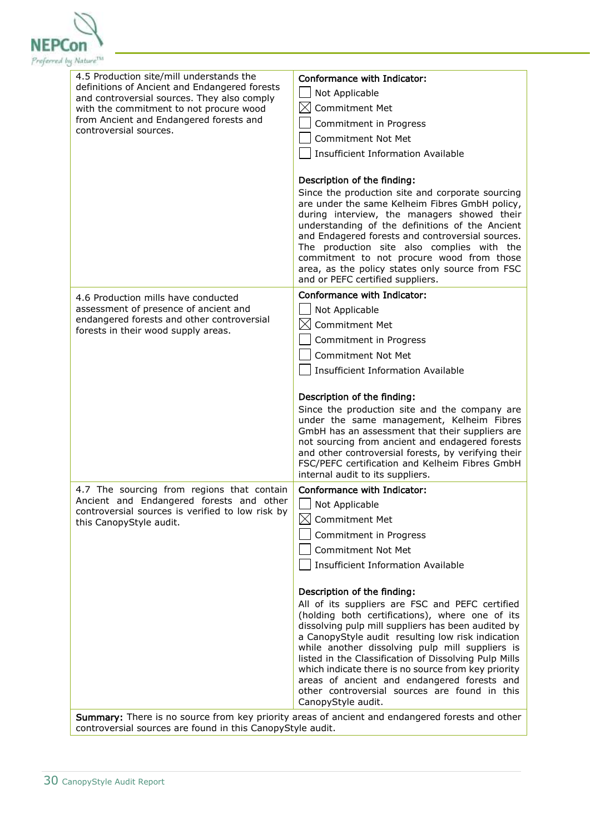

| 4.5 Production site/mill understands the<br>definitions of Ancient and Endangered forests<br>and controversial sources. They also comply<br>with the commitment to not procure wood<br>from Ancient and Endangered forests and<br>controversial sources. | Conformance with Indicator:<br>Not Applicable<br>$\boxtimes$<br><b>Commitment Met</b><br>Commitment in Progress<br>Commitment Not Met<br>Insufficient Information Available<br>Description of the finding:                                                                                                                                                                                                                                                                                                                                                                                                                                           |
|----------------------------------------------------------------------------------------------------------------------------------------------------------------------------------------------------------------------------------------------------------|------------------------------------------------------------------------------------------------------------------------------------------------------------------------------------------------------------------------------------------------------------------------------------------------------------------------------------------------------------------------------------------------------------------------------------------------------------------------------------------------------------------------------------------------------------------------------------------------------------------------------------------------------|
|                                                                                                                                                                                                                                                          | Since the production site and corporate sourcing<br>are under the same Kelheim Fibres GmbH policy,<br>during interview, the managers showed their<br>understanding of the definitions of the Ancient<br>and Endagered forests and controversial sources.<br>The production site also complies with the<br>commitment to not procure wood from those<br>area, as the policy states only source from FSC<br>and or PEFC certified suppliers.                                                                                                                                                                                                           |
| 4.6 Production mills have conducted<br>assessment of presence of ancient and<br>endangered forests and other controversial<br>forests in their wood supply areas.                                                                                        | Conformance with Indicator:<br>Not Applicable<br>IXI<br><b>Commitment Met</b><br>Commitment in Progress<br><b>Commitment Not Met</b><br><b>Insufficient Information Available</b><br>Description of the finding:<br>Since the production site and the company are<br>under the same management, Kelheim Fibres<br>GmbH has an assessment that their suppliers are<br>not sourcing from ancient and endagered forests<br>and other controversial forests, by verifying their<br>FSC/PEFC certification and Kelheim Fibres GmbH<br>internal audit to its suppliers.                                                                                    |
| 4.7 The sourcing from regions that contain<br>Ancient and Endangered forests and other<br>controversial sources is verified to low risk by<br>this CanopyStyle audit.                                                                                    | Conformance with Indicator:<br>Not Applicable<br>$\boxtimes$<br>Commitment Met<br>Commitment in Progress<br><b>Commitment Not Met</b><br><b>Insufficient Information Available</b><br>Description of the finding:<br>All of its suppliers are FSC and PEFC certified<br>(holding both certifications), where one of its<br>dissolving pulp mill suppliers has been audited by<br>a CanopyStyle audit resulting low risk indication<br>while another dissolving pulp mill suppliers is<br>listed in the Classification of Dissolving Pulp Mills<br>which indicate there is no source from key priority<br>areas of ancient and endangered forests and |
|                                                                                                                                                                                                                                                          | other controversial sources are found in this<br>CanopyStyle audit.<br>Summary: There is no source from key priority areas of ancient and endangered forests and other                                                                                                                                                                                                                                                                                                                                                                                                                                                                               |

controversial sources are found in this CanopyStyle audit.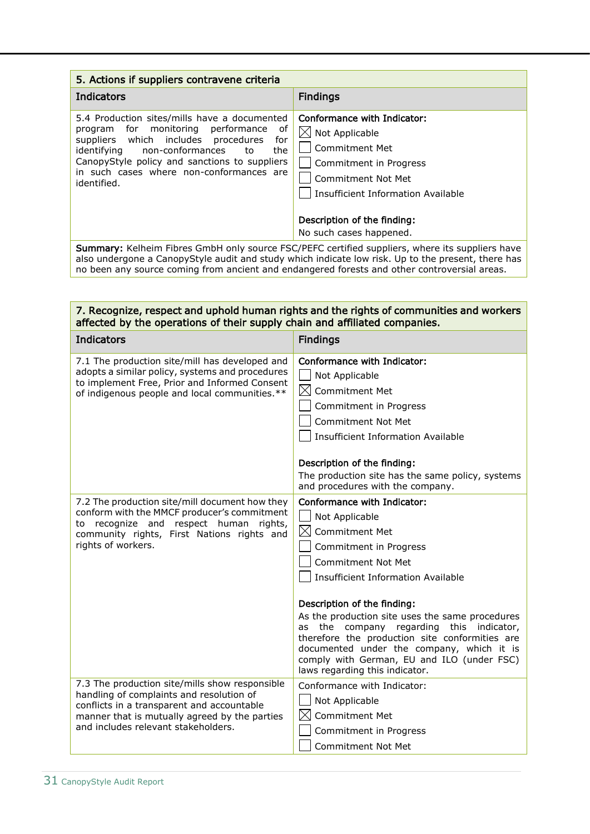| 5. Actions if suppliers contravene criteria                                                                                                                                                                                                                                                     |                                                                                                                                                                                                                                    |  |
|-------------------------------------------------------------------------------------------------------------------------------------------------------------------------------------------------------------------------------------------------------------------------------------------------|------------------------------------------------------------------------------------------------------------------------------------------------------------------------------------------------------------------------------------|--|
| Indicators                                                                                                                                                                                                                                                                                      | <b>Findings</b>                                                                                                                                                                                                                    |  |
| 5.4 Production sites/mills have a documented<br>program for monitoring performance of<br>suppliers which includes procedures<br>for<br>non-conformances<br>identifying<br>the<br>to<br>CanopyStyle policy and sanctions to suppliers<br>in such cases where non-conformances are<br>identified. | Conformance with Indicator:<br>$\boxtimes$ Not Applicable<br>Commitment Met<br>Commitment in Progress<br><b>Commitment Not Met</b><br>Insufficient Information Available<br>Description of the finding:<br>No such cases happened. |  |

Summary: Kelheim Fibres GmbH only source FSC/PEFC certified suppliers, where its suppliers have also undergone a CanopyStyle audit and study which indicate low risk. Up to the present, there has no been any source coming from ancient and endangered forests and other controversial areas.

#### 7. Recognize, respect and uphold human rights and the rights of communities and workers affected by the operations of their supply chain and affiliated companies.

| <b>Indicators</b>                                                                                                                                                                                                                | <b>Findings</b>                                                                                                                                                                                                                                                                                                                                                                                                             |
|----------------------------------------------------------------------------------------------------------------------------------------------------------------------------------------------------------------------------------|-----------------------------------------------------------------------------------------------------------------------------------------------------------------------------------------------------------------------------------------------------------------------------------------------------------------------------------------------------------------------------------------------------------------------------|
| 7.1 The production site/mill has developed and<br>adopts a similar policy, systems and procedures<br>to implement Free, Prior and Informed Consent<br>of indigenous people and local communities.**                              | Conformance with Indicator:<br>Not Applicable<br>⊠<br><b>Commitment Met</b><br>Commitment in Progress<br><b>Commitment Not Met</b><br><b>Insufficient Information Available</b>                                                                                                                                                                                                                                             |
|                                                                                                                                                                                                                                  | Description of the finding:                                                                                                                                                                                                                                                                                                                                                                                                 |
|                                                                                                                                                                                                                                  | The production site has the same policy, systems<br>and procedures with the company.                                                                                                                                                                                                                                                                                                                                        |
| 7.2 The production site/mill document how they<br>conform with the MMCF producer's commitment<br>to recognize and respect human rights,<br>community rights, First Nations rights and<br>rights of workers.                      | Conformance with Indicator:<br>Not Applicable<br>$\boxtimes$<br><b>Commitment Met</b><br>Commitment in Progress<br>Commitment Not Met<br><b>Insufficient Information Available</b><br>Description of the finding:<br>As the production site uses the same procedures<br>the company<br>regarding<br>this<br>indicator,<br>as<br>therefore the production site conformities are<br>documented under the company, which it is |
|                                                                                                                                                                                                                                  | comply with German, EU and ILO (under FSC)<br>laws regarding this indicator.                                                                                                                                                                                                                                                                                                                                                |
| 7.3 The production site/mills show responsible<br>handling of complaints and resolution of<br>conflicts in a transparent and accountable<br>manner that is mutually agreed by the parties<br>and includes relevant stakeholders. | Conformance with Indicator:<br>Not Applicable<br>IХ<br><b>Commitment Met</b><br>Commitment in Progress<br><b>Commitment Not Met</b>                                                                                                                                                                                                                                                                                         |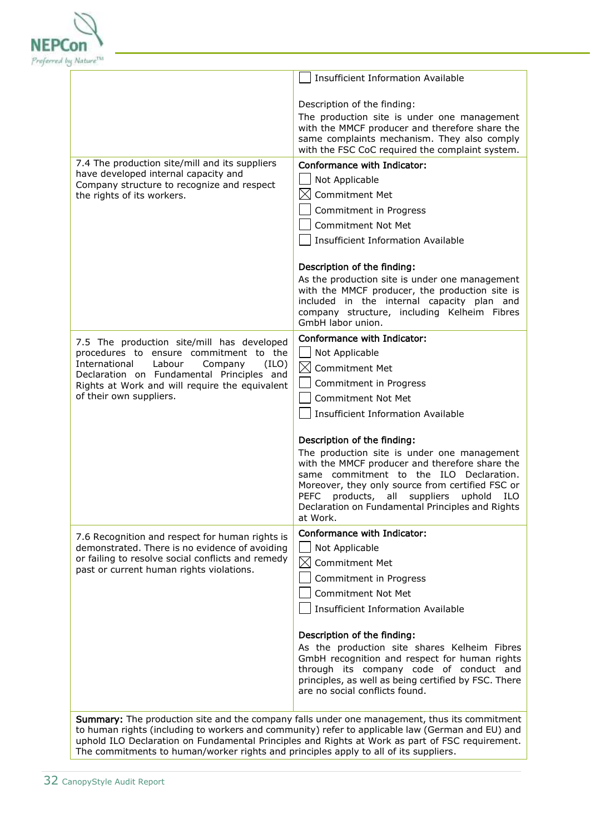

|                                                                                                                                                                                                     | <b>Insufficient Information Available</b>                                                     |
|-----------------------------------------------------------------------------------------------------------------------------------------------------------------------------------------------------|-----------------------------------------------------------------------------------------------|
|                                                                                                                                                                                                     |                                                                                               |
|                                                                                                                                                                                                     | Description of the finding:                                                                   |
|                                                                                                                                                                                                     | The production site is under one management<br>with the MMCF producer and therefore share the |
|                                                                                                                                                                                                     | same complaints mechanism. They also comply                                                   |
| 7.4 The production site/mill and its suppliers                                                                                                                                                      | with the FSC CoC required the complaint system.                                               |
| have developed internal capacity and                                                                                                                                                                | Conformance with Indicator:<br>Not Applicable                                                 |
| Company structure to recognize and respect<br>the rights of its workers.                                                                                                                            | $\bowtie$<br><b>Commitment Met</b>                                                            |
|                                                                                                                                                                                                     | Commitment in Progress                                                                        |
|                                                                                                                                                                                                     | <b>Commitment Not Met</b>                                                                     |
|                                                                                                                                                                                                     | <b>Insufficient Information Available</b>                                                     |
|                                                                                                                                                                                                     |                                                                                               |
|                                                                                                                                                                                                     | Description of the finding:<br>As the production site is under one management                 |
|                                                                                                                                                                                                     | with the MMCF producer, the production site is                                                |
|                                                                                                                                                                                                     | included in the internal capacity plan and<br>company structure, including Kelheim Fibres     |
|                                                                                                                                                                                                     | GmbH labor union.                                                                             |
| 7.5 The production site/mill has developed                                                                                                                                                          | Conformance with Indicator:                                                                   |
| procedures to ensure commitment to the                                                                                                                                                              | Not Applicable                                                                                |
| International<br>Labour<br>(ILO)<br>Company<br>Declaration on Fundamental Principles and                                                                                                            | $\boxtimes$ Commitment Met                                                                    |
| Rights at Work and will require the equivalent                                                                                                                                                      | Commitment in Progress                                                                        |
| of their own suppliers.                                                                                                                                                                             | <b>Commitment Not Met</b>                                                                     |
|                                                                                                                                                                                                     | <b>Insufficient Information Available</b>                                                     |
|                                                                                                                                                                                                     | Description of the finding:                                                                   |
|                                                                                                                                                                                                     | The production site is under one management                                                   |
|                                                                                                                                                                                                     | with the MMCF producer and therefore share the<br>same commitment to the ILO Declaration.     |
|                                                                                                                                                                                                     | Moreover, they only source from certified FSC or<br>PEFC products, all suppliers              |
|                                                                                                                                                                                                     | uphold<br>ILO<br>Declaration on Fundamental Principles and Rights                             |
|                                                                                                                                                                                                     | at Work.                                                                                      |
| 7.6 Recognition and respect for human rights is                                                                                                                                                     | Conformance with Indicator:                                                                   |
| demonstrated. There is no evidence of avoiding<br>or failing to resolve social conflicts and remedy<br>past or current human rights violations.                                                     | Not Applicable<br>$\boxtimes$                                                                 |
|                                                                                                                                                                                                     | Commitment Met<br>Commitment in Progress                                                      |
|                                                                                                                                                                                                     | <b>Commitment Not Met</b>                                                                     |
|                                                                                                                                                                                                     | <b>Insufficient Information Available</b>                                                     |
|                                                                                                                                                                                                     |                                                                                               |
|                                                                                                                                                                                                     | Description of the finding:                                                                   |
|                                                                                                                                                                                                     | As the production site shares Kelheim Fibres<br>GmbH recognition and respect for human rights |
|                                                                                                                                                                                                     | through its company code of conduct and                                                       |
|                                                                                                                                                                                                     | principles, as well as being certified by FSC. There<br>are no social conflicts found.        |
|                                                                                                                                                                                                     |                                                                                               |
| Summary: The production site and the company falls under one management, thus its commitment                                                                                                        |                                                                                               |
| to human rights (including to workers and community) refer to applicable law (German and EU) and<br>uphold ILO Declaration on Fundamental Principles and Rights at Work as part of FSC requirement. |                                                                                               |

The commitments to human/worker rights and principles apply to all of its suppliers.